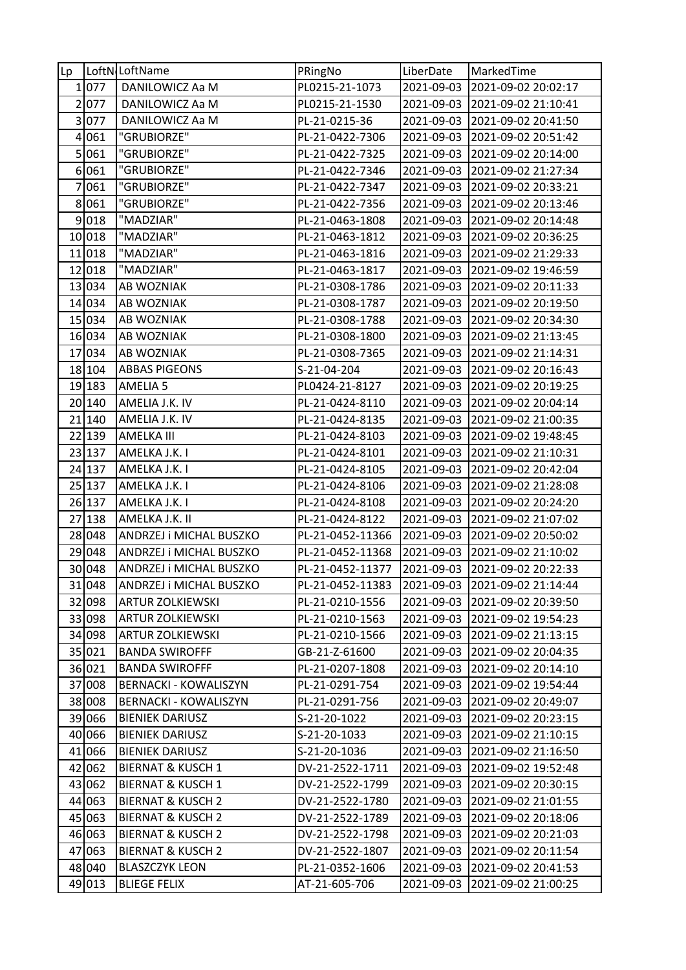| $\mathsf{Lp}$  |        | LoftN <sub>I</sub> LoftName  | PRingNo          | LiberDate  | MarkedTime                     |
|----------------|--------|------------------------------|------------------|------------|--------------------------------|
|                | 1 077  | DANILOWICZ Aa M              | PL0215-21-1073   |            | 2021-09-03 2021-09-02 20:02:17 |
| $\overline{2}$ | 077    | DANILOWICZ Aa M              | PL0215-21-1530   |            | 2021-09-03 2021-09-02 21:10:41 |
| 3              | 077    | DANILOWICZ Aa M              | PL-21-0215-36    |            | 2021-09-03 2021-09-02 20:41:50 |
|                | 4 061  | "GRUBIORZE"                  | PL-21-0422-7306  |            | 2021-09-03 2021-09-02 20:51:42 |
| 5              | 061    | "GRUBIORZE"                  | PL-21-0422-7325  | 2021-09-03 | 2021-09-02 20:14:00            |
|                | 6061   | "GRUBIORZE"                  | PL-21-0422-7346  | 2021-09-03 | 2021-09-02 21:27:34            |
| 7              | 061    | "GRUBIORZE"                  | PL-21-0422-7347  |            | 2021-09-03 2021-09-02 20:33:21 |
| 8              | 061    | "GRUBIORZE"                  | PL-21-0422-7356  |            | 2021-09-03 2021-09-02 20:13:46 |
|                | 9 018  | "MADZIAR"                    | PL-21-0463-1808  |            | 2021-09-03 2021-09-02 20:14:48 |
|                | 10 018 | "MADZIAR"                    | PL-21-0463-1812  | 2021-09-03 | 2021-09-02 20:36:25            |
|                | 11 018 | "MADZIAR"                    | PL-21-0463-1816  |            | 2021-09-03 2021-09-02 21:29:33 |
|                | 12 018 | "MADZIAR"                    | PL-21-0463-1817  |            | 2021-09-03 2021-09-02 19:46:59 |
|                | 13 034 | AB WOZNIAK                   | PL-21-0308-1786  | 2021-09-03 | 2021-09-02 20:11:33            |
|                | 14 034 | <b>AB WOZNIAK</b>            | PL-21-0308-1787  |            | 2021-09-03 2021-09-02 20:19:50 |
|                | 15 034 | AB WOZNIAK                   | PL-21-0308-1788  |            | 2021-09-03 2021-09-02 20:34:30 |
|                | 16 034 | AB WOZNIAK                   | PL-21-0308-1800  | 2021-09-03 | 2021-09-02 21:13:45            |
|                | 17 034 | AB WOZNIAK                   | PL-21-0308-7365  |            | 2021-09-03 2021-09-02 21:14:31 |
|                | 18 104 | <b>ABBAS PIGEONS</b>         | S-21-04-204      |            | 2021-09-03 2021-09-02 20:16:43 |
|                | 19 183 | AMELIA 5                     | PL0424-21-8127   |            | 2021-09-03 2021-09-02 20:19:25 |
|                | 20 140 | AMELIA J.K. IV               | PL-21-0424-8110  | 2021-09-03 | 2021-09-02 20:04:14            |
|                | 21 140 | AMELIA J.K. IV               | PL-21-0424-8135  | 2021-09-03 | 2021-09-02 21:00:35            |
|                | 22 139 | <b>AMELKA III</b>            | PL-21-0424-8103  |            | 2021-09-03 2021-09-02 19:48:45 |
|                | 23 137 | AMELKA J.K. I                | PL-21-0424-8101  |            | 2021-09-03 2021-09-02 21:10:31 |
|                | 24 137 | AMELKA J.K. I                | PL-21-0424-8105  |            | 2021-09-03 2021-09-02 20:42:04 |
|                | 25 137 | AMELKA J.K. I                | PL-21-0424-8106  | 2021-09-03 | 2021-09-02 21:28:08            |
|                | 26 137 | AMELKA J.K. I                | PL-21-0424-8108  | 2021-09-03 | 2021-09-02 20:24:20            |
|                | 27 138 | AMELKA J.K. II               | PL-21-0424-8122  |            | 2021-09-03 2021-09-02 21:07:02 |
|                | 28 048 | ANDRZEJ i MICHAL BUSZKO      | PL-21-0452-11366 | 2021-09-03 | 2021-09-02 20:50:02            |
|                | 29 048 | ANDRZEJ i MICHAL BUSZKO      | PL-21-0452-11368 |            | 2021-09-03 2021-09-02 21:10:02 |
|                | 30 048 | ANDRZEJ i MICHAL BUSZKO      | PL-21-0452-11377 |            | 2021-09-03 2021-09-02 20:22:33 |
|                | 31 048 | ANDRZEJ i MICHAL BUSZKO      | PL-21-0452-11383 |            | 2021-09-03 2021-09-02 21:14:44 |
|                | 32 098 | <b>ARTUR ZOLKIEWSKI</b>      | PL-21-0210-1556  |            | 2021-09-03 2021-09-02 20:39:50 |
|                | 33 098 | <b>ARTUR ZOLKIEWSKI</b>      | PL-21-0210-1563  |            | 2021-09-03 2021-09-02 19:54:23 |
|                | 34 098 | <b>ARTUR ZOLKIEWSKI</b>      | PL-21-0210-1566  |            | 2021-09-03 2021-09-02 21:13:15 |
|                | 35 021 | <b>BANDA SWIROFFF</b>        | GB-21-Z-61600    | 2021-09-03 | 2021-09-02 20:04:35            |
|                | 36 021 | <b>BANDA SWIROFFF</b>        | PL-21-0207-1808  |            | 2021-09-03 2021-09-02 20:14:10 |
|                | 37 008 | <b>BERNACKI - KOWALISZYN</b> | PL-21-0291-754   |            | 2021-09-03 2021-09-02 19:54:44 |
|                | 38 008 | <b>BERNACKI - KOWALISZYN</b> | PL-21-0291-756   | 2021-09-03 | 2021-09-02 20:49:07            |
|                | 39 066 | <b>BIENIEK DARIUSZ</b>       | S-21-20-1022     |            | 2021-09-03 2021-09-02 20:23:15 |
|                | 40 066 | <b>BIENIEK DARIUSZ</b>       | S-21-20-1033     | 2021-09-03 | 2021-09-02 21:10:15            |
|                | 41 066 | <b>BIENIEK DARIUSZ</b>       | S-21-20-1036     |            | 2021-09-03 2021-09-02 21:16:50 |
|                | 42 062 | <b>BIERNAT &amp; KUSCH 1</b> | DV-21-2522-1711  |            | 2021-09-03 2021-09-02 19:52:48 |
|                | 43 062 | <b>BIERNAT &amp; KUSCH 1</b> | DV-21-2522-1799  | 2021-09-03 | 2021-09-02 20:30:15            |
|                | 44 063 | <b>BIERNAT &amp; KUSCH 2</b> | DV-21-2522-1780  | 2021-09-03 | 2021-09-02 21:01:55            |
|                | 45 063 | <b>BIERNAT &amp; KUSCH 2</b> | DV-21-2522-1789  | 2021-09-03 | 2021-09-02 20:18:06            |
|                | 46 063 | <b>BIERNAT &amp; KUSCH 2</b> | DV-21-2522-1798  | 2021-09-03 | 2021-09-02 20:21:03            |
|                | 47 063 | <b>BIERNAT &amp; KUSCH 2</b> | DV-21-2522-1807  | 2021-09-03 | 2021-09-02 20:11:54            |
|                | 48 040 | <b>BLASZCZYK LEON</b>        | PL-21-0352-1606  | 2021-09-03 | 2021-09-02 20:41:53            |
|                | 49 013 | <b>BLIEGE FELIX</b>          | AT-21-605-706    | 2021-09-03 | 2021-09-02 21:00:25            |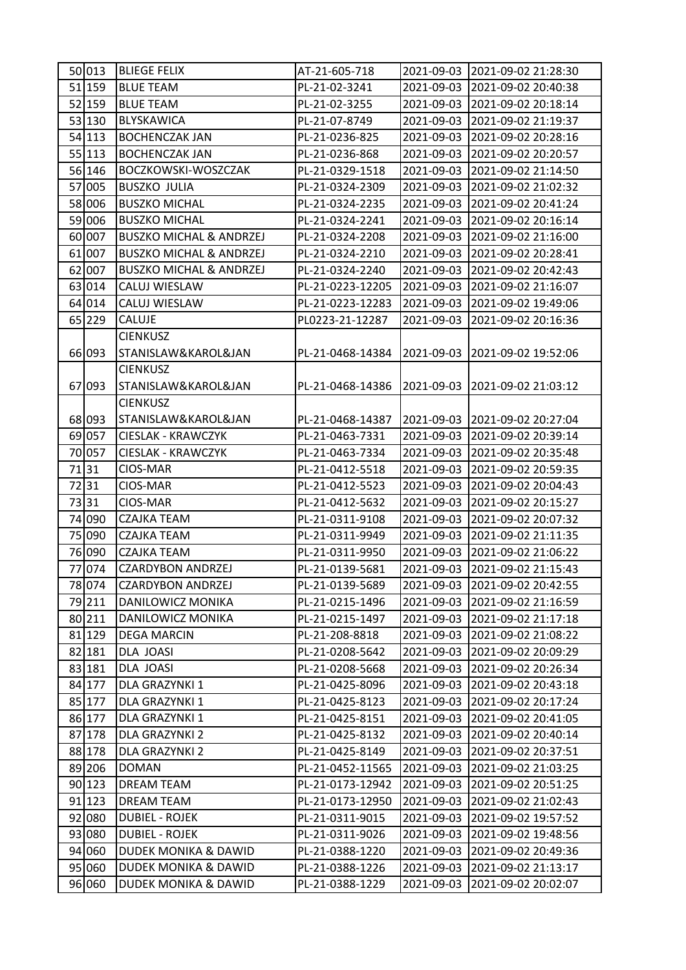| 51 159<br><b>BLUE TEAM</b><br>PL-21-02-3241<br>2021-09-03<br>2021-09-02 20:40:38<br>52 159<br><b>BLUE TEAM</b><br>2021-09-03<br>PL-21-02-3255<br>2021-09-02 20:18:14<br>53 130<br>BLYSKAWICA<br>PL-21-07-8749<br>2021-09-03<br>2021-09-02 21:19:37<br>54 113<br><b>BOCHENCZAK JAN</b><br>2021-09-03<br>PL-21-0236-825<br>2021-09-02 20:28:16<br>55 113<br><b>BOCHENCZAK JAN</b><br>2021-09-03<br>PL-21-0236-868<br>2021-09-02 20:20:57<br>56 146<br>BOCZKOWSKI-WOSZCZAK<br>PL-21-0329-1518<br>2021-09-03<br>2021-09-02 21:14:50<br>57 005<br><b>BUSZKO JULIA</b><br>2021-09-03<br>PL-21-0324-2309<br>2021-09-02 21:02:32<br>58 006<br><b>BUSZKO MICHAL</b><br>PL-21-0324-2235<br>2021-09-03<br>2021-09-02 20:41:24<br>59 006<br><b>BUSZKO MICHAL</b><br>PL-21-0324-2241<br>2021-09-03<br>2021-09-02 20:16:14<br>60 007<br>2021-09-03<br><b>BUSZKO MICHAL &amp; ANDRZEJ</b><br>PL-21-0324-2208<br>2021-09-02 21:16:00<br>61 007<br>2021-09-03<br><b>BUSZKO MICHAL &amp; ANDRZEJ</b><br>PL-21-0324-2210<br>2021-09-02 20:28:41<br><b>BUSZKO MICHAL &amp; ANDRZEJ</b><br>62 007<br>2021-09-03<br>PL-21-0324-2240<br>2021-09-02 20:42:43<br>63<br>014<br>CALUJ WIESLAW<br>PL-21-0223-12205<br>2021-09-03<br>2021-09-02 21:16:07<br>64 014<br>CALUJ WIESLAW<br>2021-09-03<br>PL-21-0223-12283<br>2021-09-02 19:49:06<br>65 229<br>CALUJE<br>PL0223-21-12287<br>2021-09-03<br>2021-09-02 20:16:36<br><b>CIENKUSZ</b><br>STANISLAW&KAROL&JAN<br>66 093<br>2021-09-03<br>PL-21-0468-14384<br>2021-09-02 19:52:06<br><b>CIENKUSZ</b><br>093<br>STANISLAW&KAROL&JAN<br>PL-21-0468-14386<br>67<br>2021-09-03<br>2021-09-02 21:03:12<br><b>CIENKUSZ</b><br>68 093<br>STANISLAW&KAROL&JAN<br>PL-21-0468-14387<br>2021-09-03 2021-09-02 20:27:04<br>69 057<br><b>CIESLAK - KRAWCZYK</b><br>PL-21-0463-7331<br>2021-09-03<br>2021-09-02 20:39:14<br>70 057<br>2021-09-03<br>CIESLAK - KRAWCZYK<br>PL-21-0463-7334<br>2021-09-02 20:35:48<br>7131<br>CIOS-MAR<br>PL-21-0412-5518<br>2021-09-03<br>2021-09-02 20:59:35<br>7231<br>2021-09-03<br>CIOS-MAR<br>PL-21-0412-5523<br>2021-09-02 20:04:43<br>7331<br>CIOS-MAR<br>PL-21-0412-5632<br>2021-09-03<br>2021-09-02 20:15:27<br>74 090<br>2021-09-03<br><b>CZAJKA TEAM</b><br>PL-21-0311-9108<br>2021-09-02 20:07:32<br>75 090<br>2021-09-03<br>CZAJKA TEAM<br>PL-21-0311-9949<br>2021-09-02 21:11:35<br>76 090<br><b>CZAJKA TEAM</b><br>2021-09-03<br>PL-21-0311-9950<br>2021-09-02 21:06:22<br>77 074<br><b>CZARDYBON ANDRZEJ</b><br>PL-21-0139-5681<br>2021-09-03<br>2021-09-02 21:15:43<br>78 074<br><b>CZARDYBON ANDRZEJ</b><br>PL-21-0139-5689<br>2021-09-03<br>2021-09-02 20:42:55<br>79 211<br>DANILOWICZ MONIKA<br>2021-09-03<br>PL-21-0215-1496<br>2021-09-02 21:16:59<br>80 211<br>DANILOWICZ MONIKA<br>PL-21-0215-1497<br>2021-09-03<br>2021-09-02 21:17:18<br>81 129<br><b>DEGA MARCIN</b><br>2021-09-03<br>PL-21-208-8818<br>2021-09-02 21:08:22<br>82 181<br>DLA JOASI<br>2021-09-03<br>2021-09-02 20:09:29<br>PL-21-0208-5642<br>83 181<br>DLA JOASI<br>PL-21-0208-5668<br>2021-09-03<br>2021-09-02 20:26:34<br>84 177<br>DLA GRAZYNKI 1<br>PL-21-0425-8096<br>2021-09-03<br>2021-09-02 20:43:18<br>85 177<br>DLA GRAZYNKI 1<br>PL-21-0425-8123<br>2021-09-03<br>2021-09-02 20:17:24<br>86 177<br>DLA GRAZYNKI 1<br>2021-09-03<br>PL-21-0425-8151<br>2021-09-02 20:41:05<br>87 178<br>DLA GRAZYNKI 2<br>PL-21-0425-8132<br>2021-09-03<br>2021-09-02 20:40:14<br>88 178<br>DLA GRAZYNKI 2<br>2021-09-03<br>2021-09-02 20:37:51<br>PL-21-0425-8149<br>89 206<br><b>DOMAN</b><br>PL-21-0452-11565<br>2021-09-03<br>2021-09-02 21:03:25<br>90 123<br>DREAM TEAM<br>2021-09-03<br>2021-09-02 20:51:25<br>PL-21-0173-12942<br>91 123<br>DREAM TEAM<br>PL-21-0173-12950<br>2021-09-03<br>2021-09-02 21:02:43<br>92 080<br><b>DUBIEL - ROJEK</b><br>PL-21-0311-9015<br>2021-09-03<br>2021-09-02 19:57:52<br>93 080<br><b>DUBIEL - ROJEK</b><br>PL-21-0311-9026<br>2021-09-03<br>2021-09-02 19:48:56<br>94 060<br>DUDEK MONIKA & DAWID<br>PL-21-0388-1220<br>2021-09-03<br>2021-09-02 20:49:36<br>95 060<br>DUDEK MONIKA & DAWID<br>PL-21-0388-1226<br>2021-09-03<br>2021-09-02 21:13:17<br>96 060<br>DUDEK MONIKA & DAWID<br>2021-09-03<br>PL-21-0388-1229<br>2021-09-02 20:02:07 | 50 013 | <b>BLIEGE FELIX</b> | AT-21-605-718 | 2021-09-03 | 2021-09-02 21:28:30 |
|----------------------------------------------------------------------------------------------------------------------------------------------------------------------------------------------------------------------------------------------------------------------------------------------------------------------------------------------------------------------------------------------------------------------------------------------------------------------------------------------------------------------------------------------------------------------------------------------------------------------------------------------------------------------------------------------------------------------------------------------------------------------------------------------------------------------------------------------------------------------------------------------------------------------------------------------------------------------------------------------------------------------------------------------------------------------------------------------------------------------------------------------------------------------------------------------------------------------------------------------------------------------------------------------------------------------------------------------------------------------------------------------------------------------------------------------------------------------------------------------------------------------------------------------------------------------------------------------------------------------------------------------------------------------------------------------------------------------------------------------------------------------------------------------------------------------------------------------------------------------------------------------------------------------------------------------------------------------------------------------------------------------------------------------------------------------------------------------------------------------------------------------------------------------------------------------------------------------------------------------------------------------------------------------------------------------------------------------------------------------------------------------------------------------------------------------------------------------------------------------------------------------------------------------------------------------------------------------------------------------------------------------------------------------------------------------------------------------------------------------------------------------------------------------------------------------------------------------------------------------------------------------------------------------------------------------------------------------------------------------------------------------------------------------------------------------------------------------------------------------------------------------------------------------------------------------------------------------------------------------------------------------------------------------------------------------------------------------------------------------------------------------------------------------------------------------------------------------------------------------------------------------------------------------------------------------------------------------------------------------------------------------------------------------------------------------------------------------------------------------------------------------------------------------------------------------------------------------------------------------------------------------------------------------------------------------------------------------------------------------------------------------------------------------------------------------------------------------------------------------------------------------------------------------------------------------------------------------------|--------|---------------------|---------------|------------|---------------------|
|                                                                                                                                                                                                                                                                                                                                                                                                                                                                                                                                                                                                                                                                                                                                                                                                                                                                                                                                                                                                                                                                                                                                                                                                                                                                                                                                                                                                                                                                                                                                                                                                                                                                                                                                                                                                                                                                                                                                                                                                                                                                                                                                                                                                                                                                                                                                                                                                                                                                                                                                                                                                                                                                                                                                                                                                                                                                                                                                                                                                                                                                                                                                                                                                                                                                                                                                                                                                                                                                                                                                                                                                                                                                                                                                                                                                                                                                                                                                                                                                                                                                                                                                                                                                                            |        |                     |               |            |                     |
|                                                                                                                                                                                                                                                                                                                                                                                                                                                                                                                                                                                                                                                                                                                                                                                                                                                                                                                                                                                                                                                                                                                                                                                                                                                                                                                                                                                                                                                                                                                                                                                                                                                                                                                                                                                                                                                                                                                                                                                                                                                                                                                                                                                                                                                                                                                                                                                                                                                                                                                                                                                                                                                                                                                                                                                                                                                                                                                                                                                                                                                                                                                                                                                                                                                                                                                                                                                                                                                                                                                                                                                                                                                                                                                                                                                                                                                                                                                                                                                                                                                                                                                                                                                                                            |        |                     |               |            |                     |
|                                                                                                                                                                                                                                                                                                                                                                                                                                                                                                                                                                                                                                                                                                                                                                                                                                                                                                                                                                                                                                                                                                                                                                                                                                                                                                                                                                                                                                                                                                                                                                                                                                                                                                                                                                                                                                                                                                                                                                                                                                                                                                                                                                                                                                                                                                                                                                                                                                                                                                                                                                                                                                                                                                                                                                                                                                                                                                                                                                                                                                                                                                                                                                                                                                                                                                                                                                                                                                                                                                                                                                                                                                                                                                                                                                                                                                                                                                                                                                                                                                                                                                                                                                                                                            |        |                     |               |            |                     |
|                                                                                                                                                                                                                                                                                                                                                                                                                                                                                                                                                                                                                                                                                                                                                                                                                                                                                                                                                                                                                                                                                                                                                                                                                                                                                                                                                                                                                                                                                                                                                                                                                                                                                                                                                                                                                                                                                                                                                                                                                                                                                                                                                                                                                                                                                                                                                                                                                                                                                                                                                                                                                                                                                                                                                                                                                                                                                                                                                                                                                                                                                                                                                                                                                                                                                                                                                                                                                                                                                                                                                                                                                                                                                                                                                                                                                                                                                                                                                                                                                                                                                                                                                                                                                            |        |                     |               |            |                     |
|                                                                                                                                                                                                                                                                                                                                                                                                                                                                                                                                                                                                                                                                                                                                                                                                                                                                                                                                                                                                                                                                                                                                                                                                                                                                                                                                                                                                                                                                                                                                                                                                                                                                                                                                                                                                                                                                                                                                                                                                                                                                                                                                                                                                                                                                                                                                                                                                                                                                                                                                                                                                                                                                                                                                                                                                                                                                                                                                                                                                                                                                                                                                                                                                                                                                                                                                                                                                                                                                                                                                                                                                                                                                                                                                                                                                                                                                                                                                                                                                                                                                                                                                                                                                                            |        |                     |               |            |                     |
|                                                                                                                                                                                                                                                                                                                                                                                                                                                                                                                                                                                                                                                                                                                                                                                                                                                                                                                                                                                                                                                                                                                                                                                                                                                                                                                                                                                                                                                                                                                                                                                                                                                                                                                                                                                                                                                                                                                                                                                                                                                                                                                                                                                                                                                                                                                                                                                                                                                                                                                                                                                                                                                                                                                                                                                                                                                                                                                                                                                                                                                                                                                                                                                                                                                                                                                                                                                                                                                                                                                                                                                                                                                                                                                                                                                                                                                                                                                                                                                                                                                                                                                                                                                                                            |        |                     |               |            |                     |
|                                                                                                                                                                                                                                                                                                                                                                                                                                                                                                                                                                                                                                                                                                                                                                                                                                                                                                                                                                                                                                                                                                                                                                                                                                                                                                                                                                                                                                                                                                                                                                                                                                                                                                                                                                                                                                                                                                                                                                                                                                                                                                                                                                                                                                                                                                                                                                                                                                                                                                                                                                                                                                                                                                                                                                                                                                                                                                                                                                                                                                                                                                                                                                                                                                                                                                                                                                                                                                                                                                                                                                                                                                                                                                                                                                                                                                                                                                                                                                                                                                                                                                                                                                                                                            |        |                     |               |            |                     |
|                                                                                                                                                                                                                                                                                                                                                                                                                                                                                                                                                                                                                                                                                                                                                                                                                                                                                                                                                                                                                                                                                                                                                                                                                                                                                                                                                                                                                                                                                                                                                                                                                                                                                                                                                                                                                                                                                                                                                                                                                                                                                                                                                                                                                                                                                                                                                                                                                                                                                                                                                                                                                                                                                                                                                                                                                                                                                                                                                                                                                                                                                                                                                                                                                                                                                                                                                                                                                                                                                                                                                                                                                                                                                                                                                                                                                                                                                                                                                                                                                                                                                                                                                                                                                            |        |                     |               |            |                     |
|                                                                                                                                                                                                                                                                                                                                                                                                                                                                                                                                                                                                                                                                                                                                                                                                                                                                                                                                                                                                                                                                                                                                                                                                                                                                                                                                                                                                                                                                                                                                                                                                                                                                                                                                                                                                                                                                                                                                                                                                                                                                                                                                                                                                                                                                                                                                                                                                                                                                                                                                                                                                                                                                                                                                                                                                                                                                                                                                                                                                                                                                                                                                                                                                                                                                                                                                                                                                                                                                                                                                                                                                                                                                                                                                                                                                                                                                                                                                                                                                                                                                                                                                                                                                                            |        |                     |               |            |                     |
|                                                                                                                                                                                                                                                                                                                                                                                                                                                                                                                                                                                                                                                                                                                                                                                                                                                                                                                                                                                                                                                                                                                                                                                                                                                                                                                                                                                                                                                                                                                                                                                                                                                                                                                                                                                                                                                                                                                                                                                                                                                                                                                                                                                                                                                                                                                                                                                                                                                                                                                                                                                                                                                                                                                                                                                                                                                                                                                                                                                                                                                                                                                                                                                                                                                                                                                                                                                                                                                                                                                                                                                                                                                                                                                                                                                                                                                                                                                                                                                                                                                                                                                                                                                                                            |        |                     |               |            |                     |
|                                                                                                                                                                                                                                                                                                                                                                                                                                                                                                                                                                                                                                                                                                                                                                                                                                                                                                                                                                                                                                                                                                                                                                                                                                                                                                                                                                                                                                                                                                                                                                                                                                                                                                                                                                                                                                                                                                                                                                                                                                                                                                                                                                                                                                                                                                                                                                                                                                                                                                                                                                                                                                                                                                                                                                                                                                                                                                                                                                                                                                                                                                                                                                                                                                                                                                                                                                                                                                                                                                                                                                                                                                                                                                                                                                                                                                                                                                                                                                                                                                                                                                                                                                                                                            |        |                     |               |            |                     |
|                                                                                                                                                                                                                                                                                                                                                                                                                                                                                                                                                                                                                                                                                                                                                                                                                                                                                                                                                                                                                                                                                                                                                                                                                                                                                                                                                                                                                                                                                                                                                                                                                                                                                                                                                                                                                                                                                                                                                                                                                                                                                                                                                                                                                                                                                                                                                                                                                                                                                                                                                                                                                                                                                                                                                                                                                                                                                                                                                                                                                                                                                                                                                                                                                                                                                                                                                                                                                                                                                                                                                                                                                                                                                                                                                                                                                                                                                                                                                                                                                                                                                                                                                                                                                            |        |                     |               |            |                     |
|                                                                                                                                                                                                                                                                                                                                                                                                                                                                                                                                                                                                                                                                                                                                                                                                                                                                                                                                                                                                                                                                                                                                                                                                                                                                                                                                                                                                                                                                                                                                                                                                                                                                                                                                                                                                                                                                                                                                                                                                                                                                                                                                                                                                                                                                                                                                                                                                                                                                                                                                                                                                                                                                                                                                                                                                                                                                                                                                                                                                                                                                                                                                                                                                                                                                                                                                                                                                                                                                                                                                                                                                                                                                                                                                                                                                                                                                                                                                                                                                                                                                                                                                                                                                                            |        |                     |               |            |                     |
|                                                                                                                                                                                                                                                                                                                                                                                                                                                                                                                                                                                                                                                                                                                                                                                                                                                                                                                                                                                                                                                                                                                                                                                                                                                                                                                                                                                                                                                                                                                                                                                                                                                                                                                                                                                                                                                                                                                                                                                                                                                                                                                                                                                                                                                                                                                                                                                                                                                                                                                                                                                                                                                                                                                                                                                                                                                                                                                                                                                                                                                                                                                                                                                                                                                                                                                                                                                                                                                                                                                                                                                                                                                                                                                                                                                                                                                                                                                                                                                                                                                                                                                                                                                                                            |        |                     |               |            |                     |
|                                                                                                                                                                                                                                                                                                                                                                                                                                                                                                                                                                                                                                                                                                                                                                                                                                                                                                                                                                                                                                                                                                                                                                                                                                                                                                                                                                                                                                                                                                                                                                                                                                                                                                                                                                                                                                                                                                                                                                                                                                                                                                                                                                                                                                                                                                                                                                                                                                                                                                                                                                                                                                                                                                                                                                                                                                                                                                                                                                                                                                                                                                                                                                                                                                                                                                                                                                                                                                                                                                                                                                                                                                                                                                                                                                                                                                                                                                                                                                                                                                                                                                                                                                                                                            |        |                     |               |            |                     |
|                                                                                                                                                                                                                                                                                                                                                                                                                                                                                                                                                                                                                                                                                                                                                                                                                                                                                                                                                                                                                                                                                                                                                                                                                                                                                                                                                                                                                                                                                                                                                                                                                                                                                                                                                                                                                                                                                                                                                                                                                                                                                                                                                                                                                                                                                                                                                                                                                                                                                                                                                                                                                                                                                                                                                                                                                                                                                                                                                                                                                                                                                                                                                                                                                                                                                                                                                                                                                                                                                                                                                                                                                                                                                                                                                                                                                                                                                                                                                                                                                                                                                                                                                                                                                            |        |                     |               |            |                     |
|                                                                                                                                                                                                                                                                                                                                                                                                                                                                                                                                                                                                                                                                                                                                                                                                                                                                                                                                                                                                                                                                                                                                                                                                                                                                                                                                                                                                                                                                                                                                                                                                                                                                                                                                                                                                                                                                                                                                                                                                                                                                                                                                                                                                                                                                                                                                                                                                                                                                                                                                                                                                                                                                                                                                                                                                                                                                                                                                                                                                                                                                                                                                                                                                                                                                                                                                                                                                                                                                                                                                                                                                                                                                                                                                                                                                                                                                                                                                                                                                                                                                                                                                                                                                                            |        |                     |               |            |                     |
|                                                                                                                                                                                                                                                                                                                                                                                                                                                                                                                                                                                                                                                                                                                                                                                                                                                                                                                                                                                                                                                                                                                                                                                                                                                                                                                                                                                                                                                                                                                                                                                                                                                                                                                                                                                                                                                                                                                                                                                                                                                                                                                                                                                                                                                                                                                                                                                                                                                                                                                                                                                                                                                                                                                                                                                                                                                                                                                                                                                                                                                                                                                                                                                                                                                                                                                                                                                                                                                                                                                                                                                                                                                                                                                                                                                                                                                                                                                                                                                                                                                                                                                                                                                                                            |        |                     |               |            |                     |
|                                                                                                                                                                                                                                                                                                                                                                                                                                                                                                                                                                                                                                                                                                                                                                                                                                                                                                                                                                                                                                                                                                                                                                                                                                                                                                                                                                                                                                                                                                                                                                                                                                                                                                                                                                                                                                                                                                                                                                                                                                                                                                                                                                                                                                                                                                                                                                                                                                                                                                                                                                                                                                                                                                                                                                                                                                                                                                                                                                                                                                                                                                                                                                                                                                                                                                                                                                                                                                                                                                                                                                                                                                                                                                                                                                                                                                                                                                                                                                                                                                                                                                                                                                                                                            |        |                     |               |            |                     |
|                                                                                                                                                                                                                                                                                                                                                                                                                                                                                                                                                                                                                                                                                                                                                                                                                                                                                                                                                                                                                                                                                                                                                                                                                                                                                                                                                                                                                                                                                                                                                                                                                                                                                                                                                                                                                                                                                                                                                                                                                                                                                                                                                                                                                                                                                                                                                                                                                                                                                                                                                                                                                                                                                                                                                                                                                                                                                                                                                                                                                                                                                                                                                                                                                                                                                                                                                                                                                                                                                                                                                                                                                                                                                                                                                                                                                                                                                                                                                                                                                                                                                                                                                                                                                            |        |                     |               |            |                     |
|                                                                                                                                                                                                                                                                                                                                                                                                                                                                                                                                                                                                                                                                                                                                                                                                                                                                                                                                                                                                                                                                                                                                                                                                                                                                                                                                                                                                                                                                                                                                                                                                                                                                                                                                                                                                                                                                                                                                                                                                                                                                                                                                                                                                                                                                                                                                                                                                                                                                                                                                                                                                                                                                                                                                                                                                                                                                                                                                                                                                                                                                                                                                                                                                                                                                                                                                                                                                                                                                                                                                                                                                                                                                                                                                                                                                                                                                                                                                                                                                                                                                                                                                                                                                                            |        |                     |               |            |                     |
|                                                                                                                                                                                                                                                                                                                                                                                                                                                                                                                                                                                                                                                                                                                                                                                                                                                                                                                                                                                                                                                                                                                                                                                                                                                                                                                                                                                                                                                                                                                                                                                                                                                                                                                                                                                                                                                                                                                                                                                                                                                                                                                                                                                                                                                                                                                                                                                                                                                                                                                                                                                                                                                                                                                                                                                                                                                                                                                                                                                                                                                                                                                                                                                                                                                                                                                                                                                                                                                                                                                                                                                                                                                                                                                                                                                                                                                                                                                                                                                                                                                                                                                                                                                                                            |        |                     |               |            |                     |
|                                                                                                                                                                                                                                                                                                                                                                                                                                                                                                                                                                                                                                                                                                                                                                                                                                                                                                                                                                                                                                                                                                                                                                                                                                                                                                                                                                                                                                                                                                                                                                                                                                                                                                                                                                                                                                                                                                                                                                                                                                                                                                                                                                                                                                                                                                                                                                                                                                                                                                                                                                                                                                                                                                                                                                                                                                                                                                                                                                                                                                                                                                                                                                                                                                                                                                                                                                                                                                                                                                                                                                                                                                                                                                                                                                                                                                                                                                                                                                                                                                                                                                                                                                                                                            |        |                     |               |            |                     |
|                                                                                                                                                                                                                                                                                                                                                                                                                                                                                                                                                                                                                                                                                                                                                                                                                                                                                                                                                                                                                                                                                                                                                                                                                                                                                                                                                                                                                                                                                                                                                                                                                                                                                                                                                                                                                                                                                                                                                                                                                                                                                                                                                                                                                                                                                                                                                                                                                                                                                                                                                                                                                                                                                                                                                                                                                                                                                                                                                                                                                                                                                                                                                                                                                                                                                                                                                                                                                                                                                                                                                                                                                                                                                                                                                                                                                                                                                                                                                                                                                                                                                                                                                                                                                            |        |                     |               |            |                     |
|                                                                                                                                                                                                                                                                                                                                                                                                                                                                                                                                                                                                                                                                                                                                                                                                                                                                                                                                                                                                                                                                                                                                                                                                                                                                                                                                                                                                                                                                                                                                                                                                                                                                                                                                                                                                                                                                                                                                                                                                                                                                                                                                                                                                                                                                                                                                                                                                                                                                                                                                                                                                                                                                                                                                                                                                                                                                                                                                                                                                                                                                                                                                                                                                                                                                                                                                                                                                                                                                                                                                                                                                                                                                                                                                                                                                                                                                                                                                                                                                                                                                                                                                                                                                                            |        |                     |               |            |                     |
|                                                                                                                                                                                                                                                                                                                                                                                                                                                                                                                                                                                                                                                                                                                                                                                                                                                                                                                                                                                                                                                                                                                                                                                                                                                                                                                                                                                                                                                                                                                                                                                                                                                                                                                                                                                                                                                                                                                                                                                                                                                                                                                                                                                                                                                                                                                                                                                                                                                                                                                                                                                                                                                                                                                                                                                                                                                                                                                                                                                                                                                                                                                                                                                                                                                                                                                                                                                                                                                                                                                                                                                                                                                                                                                                                                                                                                                                                                                                                                                                                                                                                                                                                                                                                            |        |                     |               |            |                     |
|                                                                                                                                                                                                                                                                                                                                                                                                                                                                                                                                                                                                                                                                                                                                                                                                                                                                                                                                                                                                                                                                                                                                                                                                                                                                                                                                                                                                                                                                                                                                                                                                                                                                                                                                                                                                                                                                                                                                                                                                                                                                                                                                                                                                                                                                                                                                                                                                                                                                                                                                                                                                                                                                                                                                                                                                                                                                                                                                                                                                                                                                                                                                                                                                                                                                                                                                                                                                                                                                                                                                                                                                                                                                                                                                                                                                                                                                                                                                                                                                                                                                                                                                                                                                                            |        |                     |               |            |                     |
|                                                                                                                                                                                                                                                                                                                                                                                                                                                                                                                                                                                                                                                                                                                                                                                                                                                                                                                                                                                                                                                                                                                                                                                                                                                                                                                                                                                                                                                                                                                                                                                                                                                                                                                                                                                                                                                                                                                                                                                                                                                                                                                                                                                                                                                                                                                                                                                                                                                                                                                                                                                                                                                                                                                                                                                                                                                                                                                                                                                                                                                                                                                                                                                                                                                                                                                                                                                                                                                                                                                                                                                                                                                                                                                                                                                                                                                                                                                                                                                                                                                                                                                                                                                                                            |        |                     |               |            |                     |
|                                                                                                                                                                                                                                                                                                                                                                                                                                                                                                                                                                                                                                                                                                                                                                                                                                                                                                                                                                                                                                                                                                                                                                                                                                                                                                                                                                                                                                                                                                                                                                                                                                                                                                                                                                                                                                                                                                                                                                                                                                                                                                                                                                                                                                                                                                                                                                                                                                                                                                                                                                                                                                                                                                                                                                                                                                                                                                                                                                                                                                                                                                                                                                                                                                                                                                                                                                                                                                                                                                                                                                                                                                                                                                                                                                                                                                                                                                                                                                                                                                                                                                                                                                                                                            |        |                     |               |            |                     |
|                                                                                                                                                                                                                                                                                                                                                                                                                                                                                                                                                                                                                                                                                                                                                                                                                                                                                                                                                                                                                                                                                                                                                                                                                                                                                                                                                                                                                                                                                                                                                                                                                                                                                                                                                                                                                                                                                                                                                                                                                                                                                                                                                                                                                                                                                                                                                                                                                                                                                                                                                                                                                                                                                                                                                                                                                                                                                                                                                                                                                                                                                                                                                                                                                                                                                                                                                                                                                                                                                                                                                                                                                                                                                                                                                                                                                                                                                                                                                                                                                                                                                                                                                                                                                            |        |                     |               |            |                     |
|                                                                                                                                                                                                                                                                                                                                                                                                                                                                                                                                                                                                                                                                                                                                                                                                                                                                                                                                                                                                                                                                                                                                                                                                                                                                                                                                                                                                                                                                                                                                                                                                                                                                                                                                                                                                                                                                                                                                                                                                                                                                                                                                                                                                                                                                                                                                                                                                                                                                                                                                                                                                                                                                                                                                                                                                                                                                                                                                                                                                                                                                                                                                                                                                                                                                                                                                                                                                                                                                                                                                                                                                                                                                                                                                                                                                                                                                                                                                                                                                                                                                                                                                                                                                                            |        |                     |               |            |                     |
|                                                                                                                                                                                                                                                                                                                                                                                                                                                                                                                                                                                                                                                                                                                                                                                                                                                                                                                                                                                                                                                                                                                                                                                                                                                                                                                                                                                                                                                                                                                                                                                                                                                                                                                                                                                                                                                                                                                                                                                                                                                                                                                                                                                                                                                                                                                                                                                                                                                                                                                                                                                                                                                                                                                                                                                                                                                                                                                                                                                                                                                                                                                                                                                                                                                                                                                                                                                                                                                                                                                                                                                                                                                                                                                                                                                                                                                                                                                                                                                                                                                                                                                                                                                                                            |        |                     |               |            |                     |
|                                                                                                                                                                                                                                                                                                                                                                                                                                                                                                                                                                                                                                                                                                                                                                                                                                                                                                                                                                                                                                                                                                                                                                                                                                                                                                                                                                                                                                                                                                                                                                                                                                                                                                                                                                                                                                                                                                                                                                                                                                                                                                                                                                                                                                                                                                                                                                                                                                                                                                                                                                                                                                                                                                                                                                                                                                                                                                                                                                                                                                                                                                                                                                                                                                                                                                                                                                                                                                                                                                                                                                                                                                                                                                                                                                                                                                                                                                                                                                                                                                                                                                                                                                                                                            |        |                     |               |            |                     |
|                                                                                                                                                                                                                                                                                                                                                                                                                                                                                                                                                                                                                                                                                                                                                                                                                                                                                                                                                                                                                                                                                                                                                                                                                                                                                                                                                                                                                                                                                                                                                                                                                                                                                                                                                                                                                                                                                                                                                                                                                                                                                                                                                                                                                                                                                                                                                                                                                                                                                                                                                                                                                                                                                                                                                                                                                                                                                                                                                                                                                                                                                                                                                                                                                                                                                                                                                                                                                                                                                                                                                                                                                                                                                                                                                                                                                                                                                                                                                                                                                                                                                                                                                                                                                            |        |                     |               |            |                     |
|                                                                                                                                                                                                                                                                                                                                                                                                                                                                                                                                                                                                                                                                                                                                                                                                                                                                                                                                                                                                                                                                                                                                                                                                                                                                                                                                                                                                                                                                                                                                                                                                                                                                                                                                                                                                                                                                                                                                                                                                                                                                                                                                                                                                                                                                                                                                                                                                                                                                                                                                                                                                                                                                                                                                                                                                                                                                                                                                                                                                                                                                                                                                                                                                                                                                                                                                                                                                                                                                                                                                                                                                                                                                                                                                                                                                                                                                                                                                                                                                                                                                                                                                                                                                                            |        |                     |               |            |                     |
|                                                                                                                                                                                                                                                                                                                                                                                                                                                                                                                                                                                                                                                                                                                                                                                                                                                                                                                                                                                                                                                                                                                                                                                                                                                                                                                                                                                                                                                                                                                                                                                                                                                                                                                                                                                                                                                                                                                                                                                                                                                                                                                                                                                                                                                                                                                                                                                                                                                                                                                                                                                                                                                                                                                                                                                                                                                                                                                                                                                                                                                                                                                                                                                                                                                                                                                                                                                                                                                                                                                                                                                                                                                                                                                                                                                                                                                                                                                                                                                                                                                                                                                                                                                                                            |        |                     |               |            |                     |
|                                                                                                                                                                                                                                                                                                                                                                                                                                                                                                                                                                                                                                                                                                                                                                                                                                                                                                                                                                                                                                                                                                                                                                                                                                                                                                                                                                                                                                                                                                                                                                                                                                                                                                                                                                                                                                                                                                                                                                                                                                                                                                                                                                                                                                                                                                                                                                                                                                                                                                                                                                                                                                                                                                                                                                                                                                                                                                                                                                                                                                                                                                                                                                                                                                                                                                                                                                                                                                                                                                                                                                                                                                                                                                                                                                                                                                                                                                                                                                                                                                                                                                                                                                                                                            |        |                     |               |            |                     |
|                                                                                                                                                                                                                                                                                                                                                                                                                                                                                                                                                                                                                                                                                                                                                                                                                                                                                                                                                                                                                                                                                                                                                                                                                                                                                                                                                                                                                                                                                                                                                                                                                                                                                                                                                                                                                                                                                                                                                                                                                                                                                                                                                                                                                                                                                                                                                                                                                                                                                                                                                                                                                                                                                                                                                                                                                                                                                                                                                                                                                                                                                                                                                                                                                                                                                                                                                                                                                                                                                                                                                                                                                                                                                                                                                                                                                                                                                                                                                                                                                                                                                                                                                                                                                            |        |                     |               |            |                     |
|                                                                                                                                                                                                                                                                                                                                                                                                                                                                                                                                                                                                                                                                                                                                                                                                                                                                                                                                                                                                                                                                                                                                                                                                                                                                                                                                                                                                                                                                                                                                                                                                                                                                                                                                                                                                                                                                                                                                                                                                                                                                                                                                                                                                                                                                                                                                                                                                                                                                                                                                                                                                                                                                                                                                                                                                                                                                                                                                                                                                                                                                                                                                                                                                                                                                                                                                                                                                                                                                                                                                                                                                                                                                                                                                                                                                                                                                                                                                                                                                                                                                                                                                                                                                                            |        |                     |               |            |                     |
|                                                                                                                                                                                                                                                                                                                                                                                                                                                                                                                                                                                                                                                                                                                                                                                                                                                                                                                                                                                                                                                                                                                                                                                                                                                                                                                                                                                                                                                                                                                                                                                                                                                                                                                                                                                                                                                                                                                                                                                                                                                                                                                                                                                                                                                                                                                                                                                                                                                                                                                                                                                                                                                                                                                                                                                                                                                                                                                                                                                                                                                                                                                                                                                                                                                                                                                                                                                                                                                                                                                                                                                                                                                                                                                                                                                                                                                                                                                                                                                                                                                                                                                                                                                                                            |        |                     |               |            |                     |
|                                                                                                                                                                                                                                                                                                                                                                                                                                                                                                                                                                                                                                                                                                                                                                                                                                                                                                                                                                                                                                                                                                                                                                                                                                                                                                                                                                                                                                                                                                                                                                                                                                                                                                                                                                                                                                                                                                                                                                                                                                                                                                                                                                                                                                                                                                                                                                                                                                                                                                                                                                                                                                                                                                                                                                                                                                                                                                                                                                                                                                                                                                                                                                                                                                                                                                                                                                                                                                                                                                                                                                                                                                                                                                                                                                                                                                                                                                                                                                                                                                                                                                                                                                                                                            |        |                     |               |            |                     |
|                                                                                                                                                                                                                                                                                                                                                                                                                                                                                                                                                                                                                                                                                                                                                                                                                                                                                                                                                                                                                                                                                                                                                                                                                                                                                                                                                                                                                                                                                                                                                                                                                                                                                                                                                                                                                                                                                                                                                                                                                                                                                                                                                                                                                                                                                                                                                                                                                                                                                                                                                                                                                                                                                                                                                                                                                                                                                                                                                                                                                                                                                                                                                                                                                                                                                                                                                                                                                                                                                                                                                                                                                                                                                                                                                                                                                                                                                                                                                                                                                                                                                                                                                                                                                            |        |                     |               |            |                     |
|                                                                                                                                                                                                                                                                                                                                                                                                                                                                                                                                                                                                                                                                                                                                                                                                                                                                                                                                                                                                                                                                                                                                                                                                                                                                                                                                                                                                                                                                                                                                                                                                                                                                                                                                                                                                                                                                                                                                                                                                                                                                                                                                                                                                                                                                                                                                                                                                                                                                                                                                                                                                                                                                                                                                                                                                                                                                                                                                                                                                                                                                                                                                                                                                                                                                                                                                                                                                                                                                                                                                                                                                                                                                                                                                                                                                                                                                                                                                                                                                                                                                                                                                                                                                                            |        |                     |               |            |                     |
|                                                                                                                                                                                                                                                                                                                                                                                                                                                                                                                                                                                                                                                                                                                                                                                                                                                                                                                                                                                                                                                                                                                                                                                                                                                                                                                                                                                                                                                                                                                                                                                                                                                                                                                                                                                                                                                                                                                                                                                                                                                                                                                                                                                                                                                                                                                                                                                                                                                                                                                                                                                                                                                                                                                                                                                                                                                                                                                                                                                                                                                                                                                                                                                                                                                                                                                                                                                                                                                                                                                                                                                                                                                                                                                                                                                                                                                                                                                                                                                                                                                                                                                                                                                                                            |        |                     |               |            |                     |
|                                                                                                                                                                                                                                                                                                                                                                                                                                                                                                                                                                                                                                                                                                                                                                                                                                                                                                                                                                                                                                                                                                                                                                                                                                                                                                                                                                                                                                                                                                                                                                                                                                                                                                                                                                                                                                                                                                                                                                                                                                                                                                                                                                                                                                                                                                                                                                                                                                                                                                                                                                                                                                                                                                                                                                                                                                                                                                                                                                                                                                                                                                                                                                                                                                                                                                                                                                                                                                                                                                                                                                                                                                                                                                                                                                                                                                                                                                                                                                                                                                                                                                                                                                                                                            |        |                     |               |            |                     |
|                                                                                                                                                                                                                                                                                                                                                                                                                                                                                                                                                                                                                                                                                                                                                                                                                                                                                                                                                                                                                                                                                                                                                                                                                                                                                                                                                                                                                                                                                                                                                                                                                                                                                                                                                                                                                                                                                                                                                                                                                                                                                                                                                                                                                                                                                                                                                                                                                                                                                                                                                                                                                                                                                                                                                                                                                                                                                                                                                                                                                                                                                                                                                                                                                                                                                                                                                                                                                                                                                                                                                                                                                                                                                                                                                                                                                                                                                                                                                                                                                                                                                                                                                                                                                            |        |                     |               |            |                     |
|                                                                                                                                                                                                                                                                                                                                                                                                                                                                                                                                                                                                                                                                                                                                                                                                                                                                                                                                                                                                                                                                                                                                                                                                                                                                                                                                                                                                                                                                                                                                                                                                                                                                                                                                                                                                                                                                                                                                                                                                                                                                                                                                                                                                                                                                                                                                                                                                                                                                                                                                                                                                                                                                                                                                                                                                                                                                                                                                                                                                                                                                                                                                                                                                                                                                                                                                                                                                                                                                                                                                                                                                                                                                                                                                                                                                                                                                                                                                                                                                                                                                                                                                                                                                                            |        |                     |               |            |                     |
|                                                                                                                                                                                                                                                                                                                                                                                                                                                                                                                                                                                                                                                                                                                                                                                                                                                                                                                                                                                                                                                                                                                                                                                                                                                                                                                                                                                                                                                                                                                                                                                                                                                                                                                                                                                                                                                                                                                                                                                                                                                                                                                                                                                                                                                                                                                                                                                                                                                                                                                                                                                                                                                                                                                                                                                                                                                                                                                                                                                                                                                                                                                                                                                                                                                                                                                                                                                                                                                                                                                                                                                                                                                                                                                                                                                                                                                                                                                                                                                                                                                                                                                                                                                                                            |        |                     |               |            |                     |
|                                                                                                                                                                                                                                                                                                                                                                                                                                                                                                                                                                                                                                                                                                                                                                                                                                                                                                                                                                                                                                                                                                                                                                                                                                                                                                                                                                                                                                                                                                                                                                                                                                                                                                                                                                                                                                                                                                                                                                                                                                                                                                                                                                                                                                                                                                                                                                                                                                                                                                                                                                                                                                                                                                                                                                                                                                                                                                                                                                                                                                                                                                                                                                                                                                                                                                                                                                                                                                                                                                                                                                                                                                                                                                                                                                                                                                                                                                                                                                                                                                                                                                                                                                                                                            |        |                     |               |            |                     |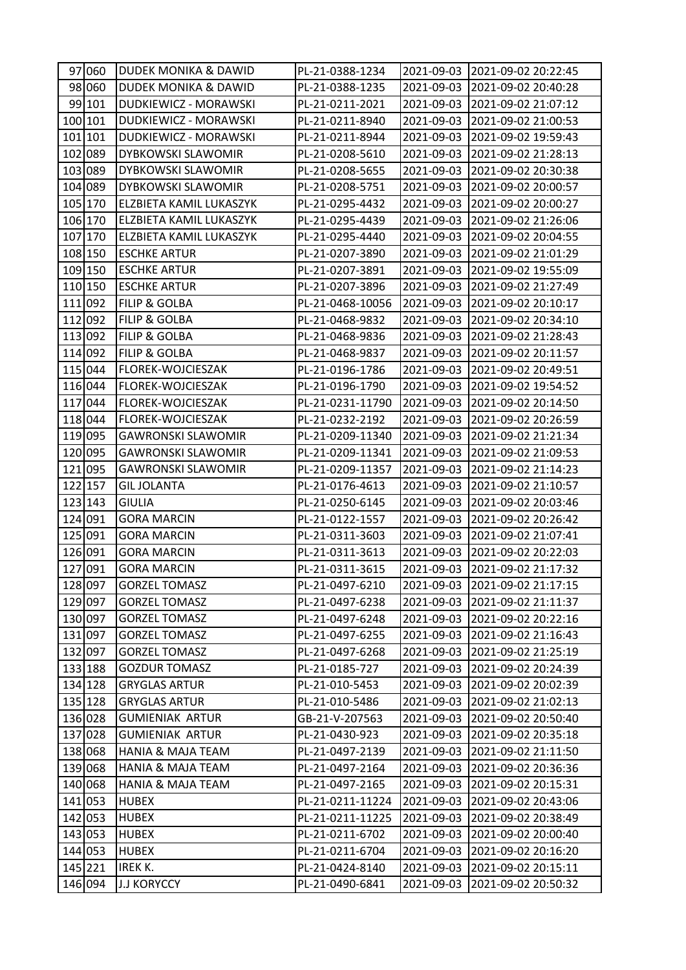| 97 060  | <b>DUDEK MONIKA &amp; DAWID</b> | PL-21-0388-1234  |            | 2021-09-03 2021-09-02 20:22:45 |
|---------|---------------------------------|------------------|------------|--------------------------------|
| 98 060  | <b>DUDEK MONIKA &amp; DAWID</b> | PL-21-0388-1235  | 2021-09-03 | 2021-09-02 20:40:28            |
| 99 101  | DUDKIEWICZ - MORAWSKI           | PL-21-0211-2021  | 2021-09-03 | 2021-09-02 21:07:12            |
| 100 101 | DUDKIEWICZ - MORAWSKI           | PL-21-0211-8940  | 2021-09-03 | 2021-09-02 21:00:53            |
| 101 101 | DUDKIEWICZ - MORAWSKI           | PL-21-0211-8944  | 2021-09-03 | 2021-09-02 19:59:43            |
| 102 089 | DYBKOWSKI SLAWOMIR              | PL-21-0208-5610  | 2021-09-03 | 2021-09-02 21:28:13            |
| 103 089 | <b>DYBKOWSKI SLAWOMIR</b>       | PL-21-0208-5655  | 2021-09-03 | 2021-09-02 20:30:38            |
| 104 089 | <b>DYBKOWSKI SLAWOMIR</b>       | PL-21-0208-5751  | 2021-09-03 | 2021-09-02 20:00:57            |
| 105 170 | ELZBIETA KAMIL LUKASZYK         | PL-21-0295-4432  | 2021-09-03 | 2021-09-02 20:00:27            |
| 106 170 | ELZBIETA KAMIL LUKASZYK         | PL-21-0295-4439  | 2021-09-03 | 2021-09-02 21:26:06            |
| 107 170 | ELZBIETA KAMIL LUKASZYK         | PL-21-0295-4440  | 2021-09-03 | 2021-09-02 20:04:55            |
| 108 150 | <b>ESCHKE ARTUR</b>             | PL-21-0207-3890  | 2021-09-03 | 2021-09-02 21:01:29            |
| 109 150 | <b>ESCHKE ARTUR</b>             | PL-21-0207-3891  | 2021-09-03 | 2021-09-02 19:55:09            |
| 110 150 | <b>ESCHKE ARTUR</b>             | PL-21-0207-3896  | 2021-09-03 | 2021-09-02 21:27:49            |
| 111 092 | <b>FILIP &amp; GOLBA</b>        | PL-21-0468-10056 | 2021-09-03 | 2021-09-02 20:10:17            |
| 112 092 | <b>FILIP &amp; GOLBA</b>        | PL-21-0468-9832  | 2021-09-03 | 2021-09-02 20:34:10            |
| 113 092 | <b>FILIP &amp; GOLBA</b>        | PL-21-0468-9836  | 2021-09-03 | 2021-09-02 21:28:43            |
| 114 092 | <b>FILIP &amp; GOLBA</b>        | PL-21-0468-9837  | 2021-09-03 | 2021-09-02 20:11:57            |
| 115 044 | FLOREK-WOJCIESZAK               | PL-21-0196-1786  | 2021-09-03 | 2021-09-02 20:49:51            |
| 116 044 | FLOREK-WOJCIESZAK               | PL-21-0196-1790  | 2021-09-03 | 2021-09-02 19:54:52            |
| 117 044 | FLOREK-WOJCIESZAK               | PL-21-0231-11790 | 2021-09-03 | 2021-09-02 20:14:50            |
| 118 044 | FLOREK-WOJCIESZAK               | PL-21-0232-2192  | 2021-09-03 | 2021-09-02 20:26:59            |
| 119 095 | <b>GAWRONSKI SLAWOMIR</b>       | PL-21-0209-11340 | 2021-09-03 | 2021-09-02 21:21:34            |
| 120 095 | <b>GAWRONSKI SLAWOMIR</b>       | PL-21-0209-11341 | 2021-09-03 | 2021-09-02 21:09:53            |
| 121 095 | <b>GAWRONSKI SLAWOMIR</b>       | PL-21-0209-11357 | 2021-09-03 | 2021-09-02 21:14:23            |
| 122 157 | <b>GIL JOLANTA</b>              | PL-21-0176-4613  | 2021-09-03 | 2021-09-02 21:10:57            |
| 123 143 | <b>GIULIA</b>                   | PL-21-0250-6145  | 2021-09-03 | 2021-09-02 20:03:46            |
| 124 091 | <b>GORA MARCIN</b>              | PL-21-0122-1557  | 2021-09-03 | 2021-09-02 20:26:42            |
| 125 091 | <b>GORA MARCIN</b>              | PL-21-0311-3603  | 2021-09-03 | 2021-09-02 21:07:41            |
| 126 091 | <b>GORA MARCIN</b>              | PL-21-0311-3613  | 2021-09-03 | 2021-09-02 20:22:03            |
| 127 091 | <b>GORA MARCIN</b>              | PL-21-0311-3615  | 2021-09-03 | 2021-09-02 21:17:32            |
| 128 097 | <b>GORZEL TOMASZ</b>            | PL-21-0497-6210  | 2021-09-03 | 2021-09-02 21:17:15            |
| 129 097 | <b>GORZEL TOMASZ</b>            | PL-21-0497-6238  | 2021-09-03 | 2021-09-02 21:11:37            |
| 130 097 | <b>GORZEL TOMASZ</b>            | PL-21-0497-6248  | 2021-09-03 | 2021-09-02 20:22:16            |
| 131 097 | <b>GORZEL TOMASZ</b>            | PL-21-0497-6255  | 2021-09-03 | 2021-09-02 21:16:43            |
| 132 097 | <b>GORZEL TOMASZ</b>            | PL-21-0497-6268  | 2021-09-03 | 2021-09-02 21:25:19            |
| 133 188 | <b>GOZDUR TOMASZ</b>            | PL-21-0185-727   | 2021-09-03 | 2021-09-02 20:24:39            |
| 134 128 | <b>GRYGLAS ARTUR</b>            | PL-21-010-5453   | 2021-09-03 | 2021-09-02 20:02:39            |
| 135 128 | <b>GRYGLAS ARTUR</b>            | PL-21-010-5486   | 2021-09-03 | 2021-09-02 21:02:13            |
| 136 028 | <b>GUMIENIAK ARTUR</b>          | GB-21-V-207563   | 2021-09-03 | 2021-09-02 20:50:40            |
| 137 028 | <b>GUMIENIAK ARTUR</b>          | PL-21-0430-923   | 2021-09-03 | 2021-09-02 20:35:18            |
| 138 068 | <b>HANIA &amp; MAJA TEAM</b>    | PL-21-0497-2139  | 2021-09-03 | 2021-09-02 21:11:50            |
| 139 068 | <b>HANIA &amp; MAJA TEAM</b>    | PL-21-0497-2164  | 2021-09-03 | 2021-09-02 20:36:36            |
| 140 068 | <b>HANIA &amp; MAJA TEAM</b>    | PL-21-0497-2165  | 2021-09-03 | 2021-09-02 20:15:31            |
| 141 053 | <b>HUBEX</b>                    | PL-21-0211-11224 | 2021-09-03 | 2021-09-02 20:43:06            |
| 142 053 | <b>HUBEX</b>                    | PL-21-0211-11225 | 2021-09-03 | 2021-09-02 20:38:49            |
| 143 053 | <b>HUBEX</b>                    | PL-21-0211-6702  | 2021-09-03 | 2021-09-02 20:00:40            |
| 144 053 | <b>HUBEX</b>                    | PL-21-0211-6704  | 2021-09-03 | 2021-09-02 20:16:20            |
| 145 221 | IREK K.                         | PL-21-0424-8140  | 2021-09-03 | 2021-09-02 20:15:11            |
| 146 094 | <b>J.J KORYCCY</b>              | PL-21-0490-6841  | 2021-09-03 | 2021-09-02 20:50:32            |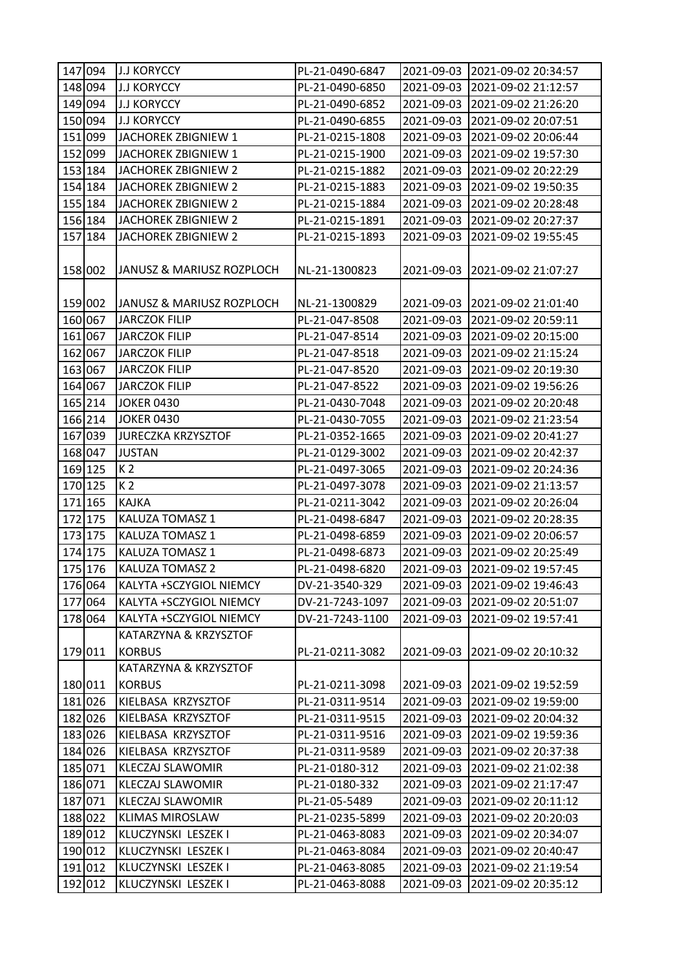| 147 094 | <b>J.J KORYCCY</b>         | PL-21-0490-6847 | 2021-09-03 | 2021-09-02 20:34:57              |
|---------|----------------------------|-----------------|------------|----------------------------------|
| 148 094 | <b>J.J KORYCCY</b>         | PL-21-0490-6850 | 2021-09-03 | 2021-09-02 21:12:57              |
| 149 094 | <b>J.J KORYCCY</b>         | PL-21-0490-6852 | 2021-09-03 | 2021-09-02 21:26:20              |
| 150 094 | <b>J.J KORYCCY</b>         | PL-21-0490-6855 | 2021-09-03 | 2021-09-02 20:07:51              |
| 151 099 | JACHOREK ZBIGNIEW 1        | PL-21-0215-1808 | 2021-09-03 | 2021-09-02 20:06:44              |
| 152 099 | JACHOREK ZBIGNIEW 1        | PL-21-0215-1900 | 2021-09-03 | 2021-09-02 19:57:30              |
| 153 184 | JACHOREK ZBIGNIEW 2        | PL-21-0215-1882 | 2021-09-03 | 2021-09-02 20:22:29              |
| 154 184 | JACHOREK ZBIGNIEW 2        | PL-21-0215-1883 | 2021-09-03 | 2021-09-02 19:50:35              |
| 155 184 | <b>JACHOREK ZBIGNIEW 2</b> | PL-21-0215-1884 | 2021-09-03 | 2021-09-02 20:28:48              |
| 156 184 | JACHOREK ZBIGNIEW 2        | PL-21-0215-1891 | 2021-09-03 | 2021-09-02 20:27:37              |
| 157 184 | JACHOREK ZBIGNIEW 2        | PL-21-0215-1893 | 2021-09-03 | 2021-09-02 19:55:45              |
|         |                            |                 |            |                                  |
| 158 002 | JANUSZ & MARIUSZ ROZPLOCH  | NL-21-1300823   | 2021-09-03 | 2021-09-02 21:07:27              |
|         |                            |                 |            |                                  |
| 159 002 | JANUSZ & MARIUSZ ROZPLOCH  | NL-21-1300829   |            | 2021-09-03 2021-09-02 21:01:40   |
| 160 067 | <b>JARCZOK FILIP</b>       | PL-21-047-8508  | 2021-09-03 | 2021-09-02 20:59:11              |
| 161 067 | <b>JARCZOK FILIP</b>       | PL-21-047-8514  | 2021-09-03 | 2021-09-02 20:15:00              |
| 162 067 | <b>JARCZOK FILIP</b>       | PL-21-047-8518  | 2021-09-03 | 2021-09-02 21:15:24              |
| 163 067 | <b>JARCZOK FILIP</b>       | PL-21-047-8520  | 2021-09-03 | 2021-09-02 20:19:30              |
| 164 067 | <b>JARCZOK FILIP</b>       | PL-21-047-8522  | 2021-09-03 | 2021-09-02 19:56:26              |
| 165 214 | <b>JOKER 0430</b>          | PL-21-0430-7048 | 2021-09-03 | 2021-09-02 20:20:48              |
| 166 214 | <b>JOKER 0430</b>          | PL-21-0430-7055 | 2021-09-03 | 2021-09-02 21:23:54              |
| 167 039 | <b>JURECZKA KRZYSZTOF</b>  | PL-21-0352-1665 | 2021-09-03 | 2021-09-02 20:41:27              |
| 168 047 | <b>JUSTAN</b>              | PL-21-0129-3002 | 2021-09-03 | 2021-09-02 20:42:37              |
| 169 125 | K <sub>2</sub>             | PL-21-0497-3065 | 2021-09-03 | 2021-09-02 20:24:36              |
| 170 125 | K <sub>2</sub>             | PL-21-0497-3078 | 2021-09-03 | 2021-09-02 21:13:57              |
| 171 165 | <b>KAJKA</b>               | PL-21-0211-3042 | 2021-09-03 | 2021-09-02 20:26:04              |
| 172 175 | KALUZA TOMASZ 1            | PL-21-0498-6847 | 2021-09-03 | 2021-09-02 20:28:35              |
| 173 175 | KALUZA TOMASZ 1            | PL-21-0498-6859 | 2021-09-03 | 2021-09-02 20:06:57              |
| 174 175 | KALUZA TOMASZ 1            | PL-21-0498-6873 | 2021-09-03 | 2021-09-02 20:25:49              |
| 175 176 | KALUZA TOMASZ 2            | PL-21-0498-6820 | 2021-09-03 | 2021-09-02 19:57:45              |
| 176 064 | KALYTA +SCZYGIOL NIEMCY    | DV-21-3540-329  | 2021-09-03 | 2021-09-02 19:46:43              |
| 177 064 | KALYTA +SCZYGIOL NIEMCY    | DV-21-7243-1097 | 2021-09-03 | 2021-09-02 20:51:07              |
| 178 064 | KALYTA +SCZYGIOL NIEMCY    | DV-21-7243-1100 | 2021-09-03 | 2021-09-02 19:57:41              |
|         | KATARZYNA & KRZYSZTOF      |                 |            |                                  |
| 179 011 | <b>KORBUS</b>              | PL-21-0211-3082 | 2021-09-03 | 2021-09-02 20:10:32              |
|         | KATARZYNA & KRZYSZTOF      |                 |            |                                  |
| 180 011 | <b>KORBUS</b>              | PL-21-0211-3098 |            | 2021-09-03   2021-09-02 19:52:59 |
| 181 026 | KIELBASA KRZYSZTOF         | PL-21-0311-9514 | 2021-09-03 | 2021-09-02 19:59:00              |
| 182 026 | KIELBASA KRZYSZTOF         | PL-21-0311-9515 | 2021-09-03 | 2021-09-02 20:04:32              |
| 183 026 | KIELBASA KRZYSZTOF         | PL-21-0311-9516 | 2021-09-03 | 2021-09-02 19:59:36              |
| 184 026 | KIELBASA KRZYSZTOF         | PL-21-0311-9589 | 2021-09-03 | 2021-09-02 20:37:38              |
| 185 071 | <b>KLECZAJ SLAWOMIR</b>    | PL-21-0180-312  | 2021-09-03 | 2021-09-02 21:02:38              |
| 186 071 | KLECZAJ SLAWOMIR           | PL-21-0180-332  | 2021-09-03 | 2021-09-02 21:17:47              |
| 187 071 | KLECZAJ SLAWOMIR           | PL-21-05-5489   | 2021-09-03 | 2021-09-02 20:11:12              |
| 188 022 | <b>KLIMAS MIROSLAW</b>     | PL-21-0235-5899 | 2021-09-03 | 2021-09-02 20:20:03              |
| 189 012 | KLUCZYNSKI LESZEK I        | PL-21-0463-8083 | 2021-09-03 | 2021-09-02 20:34:07              |
| 190 012 | KLUCZYNSKI LESZEK I        | PL-21-0463-8084 | 2021-09-03 | 2021-09-02 20:40:47              |
| 191 012 | KLUCZYNSKI LESZEK I        | PL-21-0463-8085 | 2021-09-03 | 2021-09-02 21:19:54              |
| 192 012 | KLUCZYNSKI LESZEK I        | PL-21-0463-8088 | 2021-09-03 | 2021-09-02 20:35:12              |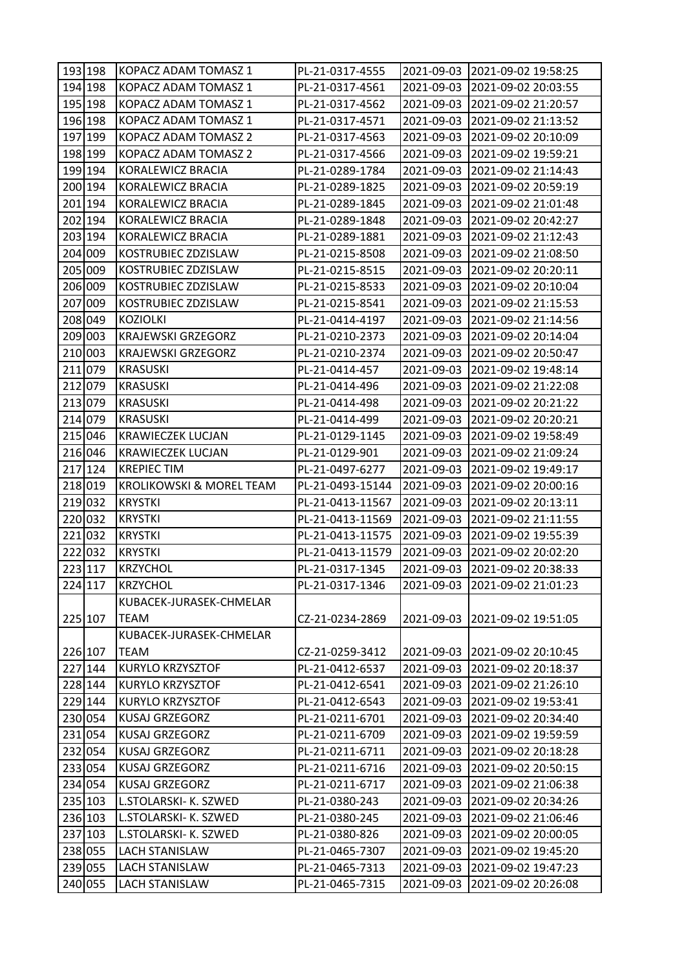| 193 198 | KOPACZ ADAM TOMASZ 1                | PL-21-0317-4555  | 2021-09-03 | 2021-09-02 19:58:25 |
|---------|-------------------------------------|------------------|------------|---------------------|
| 194 198 | KOPACZ ADAM TOMASZ 1                | PL-21-0317-4561  | 2021-09-03 | 2021-09-02 20:03:55 |
| 195 198 | KOPACZ ADAM TOMASZ 1                | PL-21-0317-4562  | 2021-09-03 | 2021-09-02 21:20:57 |
| 196 198 | KOPACZ ADAM TOMASZ 1                | PL-21-0317-4571  | 2021-09-03 | 2021-09-02 21:13:52 |
| 197 199 | KOPACZ ADAM TOMASZ 2                | PL-21-0317-4563  | 2021-09-03 | 2021-09-02 20:10:09 |
| 198 199 | KOPACZ ADAM TOMASZ 2                | PL-21-0317-4566  | 2021-09-03 | 2021-09-02 19:59:21 |
| 199 194 | KORALEWICZ BRACIA                   | PL-21-0289-1784  | 2021-09-03 | 2021-09-02 21:14:43 |
| 200 194 | KORALEWICZ BRACIA                   | PL-21-0289-1825  | 2021-09-03 | 2021-09-02 20:59:19 |
| 201 194 | KORALEWICZ BRACIA                   | PL-21-0289-1845  | 2021-09-03 | 2021-09-02 21:01:48 |
| 202 194 | KORALEWICZ BRACIA                   | PL-21-0289-1848  | 2021-09-03 | 2021-09-02 20:42:27 |
| 203 194 | KORALEWICZ BRACIA                   | PL-21-0289-1881  | 2021-09-03 | 2021-09-02 21:12:43 |
| 204 009 | KOSTRUBIEC ZDZISLAW                 | PL-21-0215-8508  | 2021-09-03 | 2021-09-02 21:08:50 |
| 205 009 | KOSTRUBIEC ZDZISLAW                 | PL-21-0215-8515  | 2021-09-03 | 2021-09-02 20:20:11 |
| 206 009 | KOSTRUBIEC ZDZISLAW                 | PL-21-0215-8533  | 2021-09-03 | 2021-09-02 20:10:04 |
| 207 009 | KOSTRUBIEC ZDZISLAW                 | PL-21-0215-8541  | 2021-09-03 | 2021-09-02 21:15:53 |
| 208 049 | <b>KOZIOLKI</b>                     | PL-21-0414-4197  | 2021-09-03 | 2021-09-02 21:14:56 |
| 209 003 | <b>KRAJEWSKI GRZEGORZ</b>           | PL-21-0210-2373  | 2021-09-03 | 2021-09-02 20:14:04 |
| 210 003 | <b>KRAJEWSKI GRZEGORZ</b>           | PL-21-0210-2374  | 2021-09-03 | 2021-09-02 20:50:47 |
| 211 079 | <b>KRASUSKI</b>                     | PL-21-0414-457   | 2021-09-03 | 2021-09-02 19:48:14 |
| 212 079 | <b>KRASUSKI</b>                     | PL-21-0414-496   | 2021-09-03 | 2021-09-02 21:22:08 |
| 213 079 | <b>KRASUSKI</b>                     | PL-21-0414-498   | 2021-09-03 | 2021-09-02 20:21:22 |
| 214 079 | <b>KRASUSKI</b>                     | PL-21-0414-499   | 2021-09-03 | 2021-09-02 20:20:21 |
| 215 046 | <b>KRAWIECZEK LUCJAN</b>            | PL-21-0129-1145  | 2021-09-03 | 2021-09-02 19:58:49 |
| 216 046 | <b>KRAWIECZEK LUCJAN</b>            | PL-21-0129-901   | 2021-09-03 | 2021-09-02 21:09:24 |
| 217 124 | <b>KREPIECTIM</b>                   | PL-21-0497-6277  | 2021-09-03 | 2021-09-02 19:49:17 |
| 218 019 | <b>KROLIKOWSKI &amp; MOREL TEAM</b> | PL-21-0493-15144 | 2021-09-03 | 2021-09-02 20:00:16 |
| 219 032 | <b>KRYSTKI</b>                      | PL-21-0413-11567 | 2021-09-03 | 2021-09-02 20:13:11 |
| 220 032 | <b>KRYSTKI</b>                      | PL-21-0413-11569 | 2021-09-03 | 2021-09-02 21:11:55 |
| 221 032 | <b>KRYSTKI</b>                      | PL-21-0413-11575 | 2021-09-03 | 2021-09-02 19:55:39 |
| 222 032 | <b>KRYSTKI</b>                      | PL-21-0413-11579 | 2021-09-03 | 2021-09-02 20:02:20 |
| 223 117 | <b>KRZYCHOL</b>                     | PL-21-0317-1345  | 2021-09-03 | 2021-09-02 20:38:33 |
| 224 117 | KRZYCHOL                            | PL-21-0317-1346  | 2021-09-03 | 2021-09-02 21:01:23 |
|         | KUBACEK-JURASEK-CHMELAR             |                  |            |                     |
| 225 107 | <b>TEAM</b>                         | CZ-21-0234-2869  | 2021-09-03 | 2021-09-02 19:51:05 |
|         | KUBACEK-JURASEK-CHMELAR             |                  |            |                     |
| 226 107 | <b>TEAM</b>                         | CZ-21-0259-3412  | 2021-09-03 | 2021-09-02 20:10:45 |
| 227 144 | <b>KURYLO KRZYSZTOF</b>             | PL-21-0412-6537  | 2021-09-03 | 2021-09-02 20:18:37 |
| 228 144 | KURYLO KRZYSZTOF                    | PL-21-0412-6541  | 2021-09-03 | 2021-09-02 21:26:10 |
| 229 144 | <b>KURYLO KRZYSZTOF</b>             | PL-21-0412-6543  | 2021-09-03 | 2021-09-02 19:53:41 |
| 230 054 | <b>KUSAJ GRZEGORZ</b>               | PL-21-0211-6701  | 2021-09-03 | 2021-09-02 20:34:40 |
| 231 054 | <b>KUSAJ GRZEGORZ</b>               | PL-21-0211-6709  | 2021-09-03 | 2021-09-02 19:59:59 |
| 232 054 | <b>KUSAJ GRZEGORZ</b>               | PL-21-0211-6711  | 2021-09-03 | 2021-09-02 20:18:28 |
| 233 054 | <b>KUSAJ GRZEGORZ</b>               | PL-21-0211-6716  | 2021-09-03 | 2021-09-02 20:50:15 |
| 234 054 | <b>KUSAJ GRZEGORZ</b>               | PL-21-0211-6717  | 2021-09-03 | 2021-09-02 21:06:38 |
| 235 103 | L.STOLARSKI- K. SZWED               | PL-21-0380-243   | 2021-09-03 | 2021-09-02 20:34:26 |
| 236 103 | L.STOLARSKI- K. SZWED               | PL-21-0380-245   | 2021-09-03 | 2021-09-02 21:06:46 |
| 237 103 | L.STOLARSKI- K. SZWED               | PL-21-0380-826   | 2021-09-03 | 2021-09-02 20:00:05 |
| 238 055 | LACH STANISLAW                      | PL-21-0465-7307  | 2021-09-03 | 2021-09-02 19:45:20 |
| 239 055 | <b>LACH STANISLAW</b>               | PL-21-0465-7313  | 2021-09-03 | 2021-09-02 19:47:23 |
| 240 055 | LACH STANISLAW                      | PL-21-0465-7315  | 2021-09-03 | 2021-09-02 20:26:08 |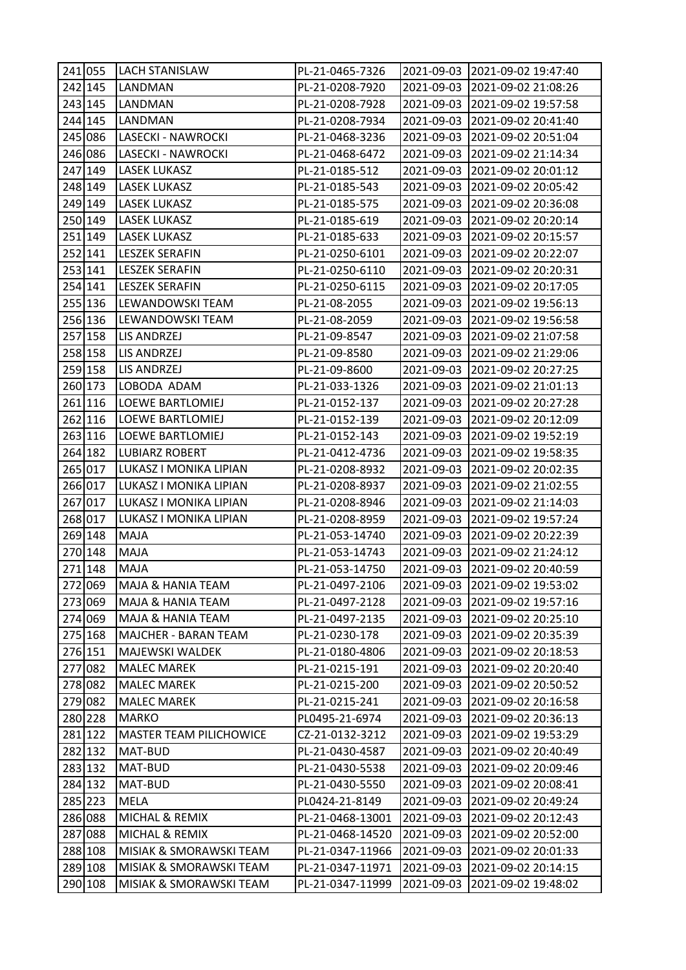| 241 055 | LACH STANISLAW                 | PL-21-0465-7326  |            | 2021-09-03 2021-09-02 19:47:40 |
|---------|--------------------------------|------------------|------------|--------------------------------|
| 242 145 | LANDMAN                        | PL-21-0208-7920  |            | 2021-09-03 2021-09-02 21:08:26 |
| 243 145 | LANDMAN                        | PL-21-0208-7928  | 2021-09-03 | 2021-09-02 19:57:58            |
| 244 145 | LANDMAN                        | PL-21-0208-7934  | 2021-09-03 | 2021-09-02 20:41:40            |
| 245 086 | LASECKI - NAWROCKI             | PL-21-0468-3236  | 2021-09-03 | 2021-09-02 20:51:04            |
| 246 086 | LASECKI - NAWROCKI             | PL-21-0468-6472  | 2021-09-03 | 2021-09-02 21:14:34            |
| 247 149 | LASEK LUKASZ                   | PL-21-0185-512   |            | 2021-09-03 2021-09-02 20:01:12 |
| 248 149 | LASEK LUKASZ                   | PL-21-0185-543   | 2021-09-03 | 2021-09-02 20:05:42            |
| 249 149 | <b>LASEK LUKASZ</b>            | PL-21-0185-575   | 2021-09-03 | 2021-09-02 20:36:08            |
| 250 149 | <b>LASEK LUKASZ</b>            | PL-21-0185-619   | 2021-09-03 | 2021-09-02 20:20:14            |
| 251 149 | <b>LASEK LUKASZ</b>            | PL-21-0185-633   | 2021-09-03 | 2021-09-02 20:15:57            |
| 252 141 | <b>LESZEK SERAFIN</b>          | PL-21-0250-6101  |            | 2021-09-03 2021-09-02 20:22:07 |
| 253 141 | <b>LESZEK SERAFIN</b>          | PL-21-0250-6110  | 2021-09-03 | 2021-09-02 20:20:31            |
| 254 141 | <b>LESZEK SERAFIN</b>          | PL-21-0250-6115  | 2021-09-03 | 2021-09-02 20:17:05            |
| 255 136 | LEWANDOWSKI TEAM               | PL-21-08-2055    | 2021-09-03 | 2021-09-02 19:56:13            |
| 256 136 | LEWANDOWSKI TEAM               | PL-21-08-2059    | 2021-09-03 | 2021-09-02 19:56:58            |
| 257 158 | LIS ANDRZEJ                    | PL-21-09-8547    | 2021-09-03 | 2021-09-02 21:07:58            |
| 258 158 | LIS ANDRZEJ                    | PL-21-09-8580    | 2021-09-03 | 2021-09-02 21:29:06            |
| 259 158 | LIS ANDRZEJ                    | PL-21-09-8600    | 2021-09-03 | 2021-09-02 20:27:25            |
| 260 173 | LOBODA ADAM                    | PL-21-033-1326   | 2021-09-03 | 2021-09-02 21:01:13            |
| 261 116 | <b>LOEWE BARTLOMIEJ</b>        | PL-21-0152-137   | 2021-09-03 | 2021-09-02 20:27:28            |
| 262 116 | LOEWE BARTLOMIEJ               | PL-21-0152-139   | 2021-09-03 | 2021-09-02 20:12:09            |
| 263 116 | LOEWE BARTLOMIEJ               | PL-21-0152-143   | 2021-09-03 | 2021-09-02 19:52:19            |
| 264 182 | <b>LUBIARZ ROBERT</b>          | PL-21-0412-4736  | 2021-09-03 | 2021-09-02 19:58:35            |
| 265 017 | LUKASZ I MONIKA LIPIAN         | PL-21-0208-8932  | 2021-09-03 | 2021-09-02 20:02:35            |
| 266 017 | LUKASZ I MONIKA LIPIAN         | PL-21-0208-8937  | 2021-09-03 | 2021-09-02 21:02:55            |
| 267 017 | LUKASZ I MONIKA LIPIAN         | PL-21-0208-8946  | 2021-09-03 | 2021-09-02 21:14:03            |
| 268 017 | LUKASZ I MONIKA LIPIAN         | PL-21-0208-8959  | 2021-09-03 | 2021-09-02 19:57:24            |
| 269 148 | MAJA                           | PL-21-053-14740  | 2021-09-03 | 2021-09-02 20:22:39            |
| 270 148 | MAJA                           | PL-21-053-14743  | 2021-09-03 | 2021-09-02 21:24:12            |
| 271 148 | <b>MAJA</b>                    | PL-21-053-14750  | 2021-09-03 | 2021-09-02 20:40:59            |
| 272 069 | <b>MAJA &amp; HANIA TEAM</b>   | PL-21-0497-2106  | 2021-09-03 | 2021-09-02 19:53:02            |
| 273 069 | MAJA & HANIA TEAM              | PL-21-0497-2128  | 2021-09-03 | 2021-09-02 19:57:16            |
| 274 069 | MAJA & HANIA TEAM              | PL-21-0497-2135  |            | 2021-09-03 2021-09-02 20:25:10 |
| 275 168 | <b>MAJCHER - BARAN TEAM</b>    | PL-21-0230-178   | 2021-09-03 | 2021-09-02 20:35:39            |
| 276 151 | MAJEWSKI WALDEK                | PL-21-0180-4806  | 2021-09-03 | 2021-09-02 20:18:53            |
| 277 082 | <b>MALEC MAREK</b>             | PL-21-0215-191   | 2021-09-03 | 2021-09-02 20:20:40            |
| 278 082 | <b>MALEC MAREK</b>             | PL-21-0215-200   | 2021-09-03 | 2021-09-02 20:50:52            |
| 279 082 | <b>MALEC MAREK</b>             | PL-21-0215-241   | 2021-09-03 | 2021-09-02 20:16:58            |
| 280 228 | <b>MARKO</b>                   | PL0495-21-6974   | 2021-09-03 | 2021-09-02 20:36:13            |
| 281 122 | <b>MASTER TEAM PILICHOWICE</b> | CZ-21-0132-3212  | 2021-09-03 | 2021-09-02 19:53:29            |
| 282 132 | MAT-BUD                        | PL-21-0430-4587  | 2021-09-03 | 2021-09-02 20:40:49            |
| 283 132 | MAT-BUD                        | PL-21-0430-5538  | 2021-09-03 | 2021-09-02 20:09:46            |
| 284 132 | MAT-BUD                        | PL-21-0430-5550  | 2021-09-03 | 2021-09-02 20:08:41            |
| 285 223 | <b>MELA</b>                    | PL0424-21-8149   | 2021-09-03 | 2021-09-02 20:49:24            |
| 286 088 | MICHAL & REMIX                 | PL-21-0468-13001 | 2021-09-03 | 2021-09-02 20:12:43            |
| 287 088 | MICHAL & REMIX                 | PL-21-0468-14520 | 2021-09-03 | 2021-09-02 20:52:00            |
| 288 108 | MISIAK & SMORAWSKI TEAM        | PL-21-0347-11966 | 2021-09-03 | 2021-09-02 20:01:33            |
| 289 108 | MISIAK & SMORAWSKI TEAM        | PL-21-0347-11971 | 2021-09-03 | 2021-09-02 20:14:15            |
| 290 108 | MISIAK & SMORAWSKI TEAM        | PL-21-0347-11999 | 2021-09-03 | 2021-09-02 19:48:02            |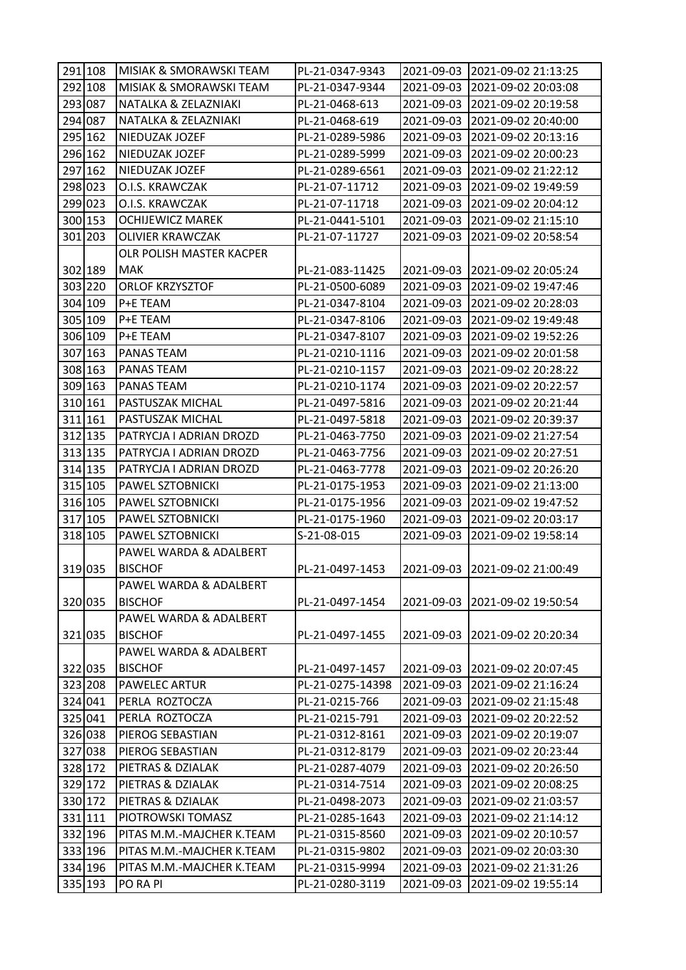| 291 108 | MISIAK & SMORAWSKI TEAM   | PL-21-0347-9343  |            | 2021-09-03 2021-09-02 21:13:25  |
|---------|---------------------------|------------------|------------|---------------------------------|
| 292 108 | MISIAK & SMORAWSKI TEAM   | PL-21-0347-9344  |            | 2021-09-03 2021-09-02 20:03:08  |
| 293 087 | NATALKA & ZELAZNIAKI      | PL-21-0468-613   | 2021-09-03 | 2021-09-02 20:19:58             |
| 294 087 | NATALKA & ZELAZNIAKI      | PL-21-0468-619   | 2021-09-03 | 2021-09-02 20:40:00             |
| 295 162 | NIEDUZAK JOZEF            | PL-21-0289-5986  | 2021-09-03 | 2021-09-02 20:13:16             |
| 296 162 | NIEDUZAK JOZEF            | PL-21-0289-5999  | 2021-09-03 | 2021-09-02 20:00:23             |
| 297 162 | NIEDUZAK JOZEF            | PL-21-0289-6561  | 2021-09-03 | 2021-09-02 21:22:12             |
| 298 023 | O.I.S. KRAWCZAK           | PL-21-07-11712   | 2021-09-03 | 2021-09-02 19:49:59             |
| 299 023 | O.I.S. KRAWCZAK           | PL-21-07-11718   | 2021-09-03 | 2021-09-02 20:04:12             |
| 300 153 | <b>OCHIJEWICZ MAREK</b>   | PL-21-0441-5101  | 2021-09-03 | 2021-09-02 21:15:10             |
| 301 203 | <b>OLIVIER KRAWCZAK</b>   | PL-21-07-11727   | 2021-09-03 | 2021-09-02 20:58:54             |
|         | OLR POLISH MASTER KACPER  |                  |            |                                 |
| 302 189 | <b>MAK</b>                | PL-21-083-11425  |            | 2021-09-03 2021-09-02 20:05:24  |
| 303 220 | <b>ORLOF KRZYSZTOF</b>    | PL-21-0500-6089  | 2021-09-03 | 2021-09-02 19:47:46             |
| 304 109 | P+E TEAM                  | PL-21-0347-8104  | 2021-09-03 | 2021-09-02 20:28:03             |
| 305 109 | P+E TEAM                  | PL-21-0347-8106  | 2021-09-03 | 2021-09-02 19:49:48             |
| 306 109 | P+E TEAM                  | PL-21-0347-8107  |            | 2021-09-03 2021-09-02 19:52:26  |
| 307 163 | PANAS TEAM                | PL-21-0210-1116  | 2021-09-03 | 2021-09-02 20:01:58             |
| 308 163 | PANAS TEAM                | PL-21-0210-1157  | 2021-09-03 | 2021-09-02 20:28:22             |
| 309 163 | PANAS TEAM                | PL-21-0210-1174  | 2021-09-03 | 2021-09-02 20:22:57             |
| 310 161 | PASTUSZAK MICHAL          | PL-21-0497-5816  | 2021-09-03 | 2021-09-02 20:21:44             |
| 311 161 | PASTUSZAK MICHAL          | PL-21-0497-5818  |            | 2021-09-03 2021-09-02 20:39:37  |
| 312 135 | PATRYCJA I ADRIAN DROZD   | PL-21-0463-7750  | 2021-09-03 | 2021-09-02 21:27:54             |
| 313 135 | PATRYCJA I ADRIAN DROZD   | PL-21-0463-7756  | 2021-09-03 | 2021-09-02 20:27:51             |
| 314 135 | PATRYCJA I ADRIAN DROZD   | PL-21-0463-7778  | 2021-09-03 | 2021-09-02 20:26:20             |
| 315 105 | PAWEL SZTOBNICKI          | PL-21-0175-1953  | 2021-09-03 | 2021-09-02 21:13:00             |
| 316 105 | PAWEL SZTOBNICKI          | PL-21-0175-1956  | 2021-09-03 | 2021-09-02 19:47:52             |
| 317 105 | PAWEL SZTOBNICKI          | PL-21-0175-1960  | 2021-09-03 | 2021-09-02 20:03:17             |
| 318 105 | PAWEL SZTOBNICKI          | S-21-08-015      | 2021-09-03 | 2021-09-02 19:58:14             |
|         | PAWEL WARDA & ADALBERT    |                  |            |                                 |
| 319 035 | <b>BISCHOF</b>            | PL-21-0497-1453  |            | 2021-09-03 2021-09-02 21:00:49  |
|         | PAWEL WARDA & ADALBERT    |                  |            |                                 |
| 320 035 | <b>BISCHOF</b>            | PL-21-0497-1454  |            | 2021-09-03 2021-09-02 19:50:54  |
|         | PAWEL WARDA & ADALBERT    |                  |            |                                 |
| 321 035 | <b>BISCHOF</b>            | PL-21-0497-1455  |            | 2021-09-03 2021-09-02 20:20:34  |
|         | PAWEL WARDA & ADALBERT    |                  |            |                                 |
| 322 035 | <b>BISCHOF</b>            | PL-21-0497-1457  |            | 2021-09-03  2021-09-02 20:07:45 |
| 323 208 | <b>PAWELEC ARTUR</b>      | PL-21-0275-14398 | 2021-09-03 | 2021-09-02 21:16:24             |
| 324 041 | PERLA ROZTOCZA            | PL-21-0215-766   |            | 2021-09-03 2021-09-02 21:15:48  |
| 325 041 | PERLA ROZTOCZA            | PL-21-0215-791   |            | 2021-09-03 2021-09-02 20:22:52  |
| 326 038 | PIEROG SEBASTIAN          | PL-21-0312-8161  |            | 2021-09-03 2021-09-02 20:19:07  |
| 327 038 | PIEROG SEBASTIAN          | PL-21-0312-8179  |            | 2021-09-03 2021-09-02 20:23:44  |
| 328 172 | PIETRAS & DZIALAK         | PL-21-0287-4079  | 2021-09-03 | 2021-09-02 20:26:50             |
| 329 172 | PIETRAS & DZIALAK         | PL-21-0314-7514  |            | 2021-09-03 2021-09-02 20:08:25  |
| 330 172 | PIETRAS & DZIALAK         | PL-21-0498-2073  |            | 2021-09-03 2021-09-02 21:03:57  |
| 331 111 | PIOTROWSKI TOMASZ         | PL-21-0285-1643  |            | 2021-09-03 2021-09-02 21:14:12  |
| 332 196 | PITAS M.M.-MAJCHER K.TEAM | PL-21-0315-8560  |            | 2021-09-03 2021-09-02 20:10:57  |
| 333 196 | PITAS M.M.-MAJCHER K.TEAM | PL-21-0315-9802  | 2021-09-03 | 2021-09-02 20:03:30             |
| 334 196 | PITAS M.M.-MAJCHER K.TEAM | PL-21-0315-9994  |            | 2021-09-03  2021-09-02 21:31:26 |
| 335 193 | PO RA PI                  | PL-21-0280-3119  | 2021-09-03 | 2021-09-02 19:55:14             |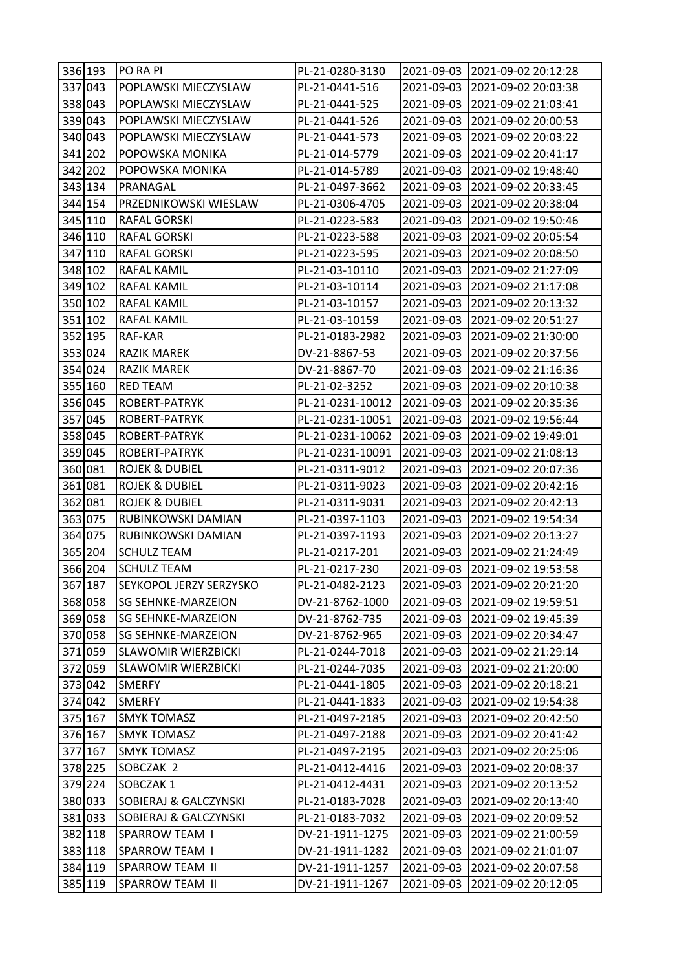| 336 193 | PO RA PI                   | PL-21-0280-3130  |            | 2021-09-03 2021-09-02 20:12:28   |
|---------|----------------------------|------------------|------------|----------------------------------|
| 337 043 | POPLAWSKI MIECZYSLAW       | PL-21-0441-516   |            | 2021-09-03 2021-09-02 20:03:38   |
| 338 043 | POPLAWSKI MIECZYSLAW       | PL-21-0441-525   | 2021-09-03 | 2021-09-02 21:03:41              |
| 339 043 | POPLAWSKI MIECZYSLAW       | PL-21-0441-526   | 2021-09-03 | 2021-09-02 20:00:53              |
| 340 043 | POPLAWSKI MIECZYSLAW       | PL-21-0441-573   | 2021-09-03 | 2021-09-02 20:03:22              |
| 341 202 | POPOWSKA MONIKA            | PL-21-014-5779   | 2021-09-03 | 2021-09-02 20:41:17              |
| 342 202 | POPOWSKA MONIKA            | PL-21-014-5789   |            | 2021-09-03 2021-09-02 19:48:40   |
| 343 134 | PRANAGAL                   | PL-21-0497-3662  | 2021-09-03 | 2021-09-02 20:33:45              |
| 344 154 | PRZEDNIKOWSKI WIESLAW      | PL-21-0306-4705  | 2021-09-03 | 2021-09-02 20:38:04              |
| 345 110 | RAFAL GORSKI               | PL-21-0223-583   | 2021-09-03 | 2021-09-02 19:50:46              |
| 346 110 | RAFAL GORSKI               | PL-21-0223-588   | 2021-09-03 | 2021-09-02 20:05:54              |
| 347 110 | RAFAL GORSKI               | PL-21-0223-595   |            | 2021-09-03 2021-09-02 20:08:50   |
| 348 102 | RAFAL KAMIL                | PL-21-03-10110   | 2021-09-03 | 2021-09-02 21:27:09              |
| 349 102 | <b>RAFAL KAMIL</b>         | PL-21-03-10114   | 2021-09-03 | 2021-09-02 21:17:08              |
| 350 102 | <b>RAFAL KAMIL</b>         | PL-21-03-10157   | 2021-09-03 | 2021-09-02 20:13:32              |
| 351 102 | RAFAL KAMIL                | PL-21-03-10159   | 2021-09-03 | 2021-09-02 20:51:27              |
| 352 195 | RAF-KAR                    | PL-21-0183-2982  | 2021-09-03 | 2021-09-02 21:30:00              |
| 353 024 | <b>RAZIK MAREK</b>         | DV-21-8867-53    | 2021-09-03 | 2021-09-02 20:37:56              |
| 354 024 | RAZIK MAREK                | DV-21-8867-70    | 2021-09-03 | 2021-09-02 21:16:36              |
| 355 160 | <b>RED TEAM</b>            | PL-21-02-3252    | 2021-09-03 | 2021-09-02 20:10:38              |
| 356 045 | ROBERT-PATRYK              | PL-21-0231-10012 | 2021-09-03 | 2021-09-02 20:35:36              |
| 357 045 | ROBERT-PATRYK              | PL-21-0231-10051 | 2021-09-03 | 2021-09-02 19:56:44              |
| 358 045 | ROBERT-PATRYK              | PL-21-0231-10062 | 2021-09-03 | 2021-09-02 19:49:01              |
| 359 045 | ROBERT-PATRYK              | PL-21-0231-10091 | 2021-09-03 | 2021-09-02 21:08:13              |
| 360 081 | <b>ROJEK &amp; DUBIEL</b>  | PL-21-0311-9012  | 2021-09-03 | 2021-09-02 20:07:36              |
| 361 081 | <b>ROJEK &amp; DUBIEL</b>  | PL-21-0311-9023  | 2021-09-03 | 2021-09-02 20:42:16              |
| 362 081 | <b>ROJEK &amp; DUBIEL</b>  | PL-21-0311-9031  | 2021-09-03 | 2021-09-02 20:42:13              |
| 363 075 | RUBINKOWSKI DAMIAN         | PL-21-0397-1103  | 2021-09-03 | 2021-09-02 19:54:34              |
| 364 075 | RUBINKOWSKI DAMIAN         | PL-21-0397-1193  | 2021-09-03 | 2021-09-02 20:13:27              |
| 365 204 | <b>SCHULZ TEAM</b>         | PL-21-0217-201   | 2021-09-03 | 2021-09-02 21:24:49              |
| 366 204 | <b>SCHULZ TEAM</b>         | PL-21-0217-230   |            | 2021-09-03   2021-09-02 19:53:58 |
| 367 187 | SEYKOPOL JERZY SERZYSKO    | PL-21-0482-2123  | 2021-09-03 | 2021-09-02 20:21:20              |
| 368 058 | <b>SG SEHNKE-MARZEION</b>  | DV-21-8762-1000  | 2021-09-03 | 2021-09-02 19:59:51              |
| 369 058 | <b>SG SEHNKE-MARZEION</b>  | DV-21-8762-735   | 2021-09-03 | 2021-09-02 19:45:39              |
| 370 058 | SG SEHNKE-MARZEION         | DV-21-8762-965   | 2021-09-03 | 2021-09-02 20:34:47              |
| 371 059 | <b>SLAWOMIR WIERZBICKI</b> | PL-21-0244-7018  | 2021-09-03 | 2021-09-02 21:29:14              |
| 372 059 | <b>SLAWOMIR WIERZBICKI</b> | PL-21-0244-7035  | 2021-09-03 | 2021-09-02 21:20:00              |
| 373 042 | <b>SMERFY</b>              | PL-21-0441-1805  | 2021-09-03 | 2021-09-02 20:18:21              |
| 374 042 | <b>SMERFY</b>              | PL-21-0441-1833  | 2021-09-03 | 2021-09-02 19:54:38              |
| 375 167 | <b>SMYK TOMASZ</b>         | PL-21-0497-2185  | 2021-09-03 | 2021-09-02 20:42:50              |
| 376 167 | <b>SMYK TOMASZ</b>         | PL-21-0497-2188  | 2021-09-03 | 2021-09-02 20:41:42              |
| 377 167 | <b>SMYK TOMASZ</b>         | PL-21-0497-2195  | 2021-09-03 | 2021-09-02 20:25:06              |
| 378 225 | SOBCZAK 2                  | PL-21-0412-4416  | 2021-09-03 | 2021-09-02 20:08:37              |
| 379 224 | SOBCZAK 1                  | PL-21-0412-4431  | 2021-09-03 | 2021-09-02 20:13:52              |
| 380 033 | SOBIERAJ & GALCZYNSKI      | PL-21-0183-7028  | 2021-09-03 | 2021-09-02 20:13:40              |
| 381 033 | SOBIERAJ & GALCZYNSKI      | PL-21-0183-7032  | 2021-09-03 | 2021-09-02 20:09:52              |
| 382 118 | <b>SPARROW TEAM I</b>      | DV-21-1911-1275  | 2021-09-03 | 2021-09-02 21:00:59              |
| 383 118 | <b>SPARROW TEAM I</b>      | DV-21-1911-1282  | 2021-09-03 | 2021-09-02 21:01:07              |
| 384 119 | SPARROW TEAM II            | DV-21-1911-1257  | 2021-09-03 | 2021-09-02 20:07:58              |
| 385 119 | SPARROW TEAM II            | DV-21-1911-1267  | 2021-09-03 | 2021-09-02 20:12:05              |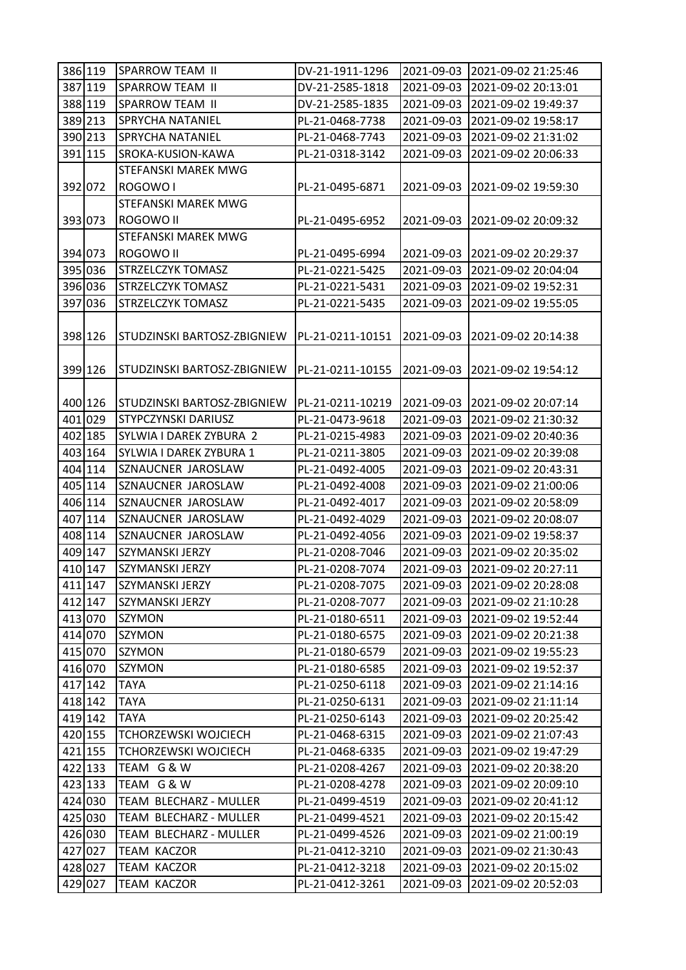| 387 119<br>2021-09-03<br><b>SPARROW TEAM II</b><br>DV-21-2585-1818<br>2021-09-02 20:13:01<br>388 119<br>SPARROW TEAM II<br>DV-21-2585-1835<br>2021-09-03<br>2021-09-02 19:49:37<br>389 213<br><b>SPRYCHA NATANIEL</b><br>PL-21-0468-7738<br>2021-09-03<br>2021-09-02 19:58:17<br>390 213<br>SPRYCHA NATANIEL<br>PL-21-0468-7743<br>2021-09-03<br>2021-09-02 21:31:02<br>391 115<br>SROKA-KUSION-KAWA<br>PL-21-0318-3142<br>2021-09-03<br>2021-09-02 20:06:33<br>STEFANSKI MAREK MWG<br>392 072<br>ROGOWO I<br>PL-21-0495-6871<br>2021-09-03   2021-09-02 19:59:30<br>STEFANSKI MAREK MWG<br>ROGOWO II<br>393 073<br>PL-21-0495-6952<br>2021-09-03 2021-09-02 20:09:32<br>STEFANSKI MAREK MWG<br>394 073<br>ROGOWO II<br>2021-09-03 2021-09-02 20:29:37<br>PL-21-0495-6994<br>395 036<br>2021-09-03<br>STRZELCZYK TOMASZ<br>PL-21-0221-5425<br>2021-09-02 20:04:04<br>396 036<br><b>STRZELCZYK TOMASZ</b><br>PL-21-0221-5431<br>2021-09-03<br>2021-09-02 19:52:31<br>397 036<br>STRZELCZYK TOMASZ<br>PL-21-0221-5435<br>2021-09-03<br>2021-09-02 19:55:05<br>398 126<br>STUDZINSKI BARTOSZ-ZBIGNIEW<br>PL-21-0211-10151<br>2021-09-03 2021-09-02 20:14:38<br>399 126<br>STUDZINSKI BARTOSZ-ZBIGNIEW<br>PL-21-0211-10155<br>2021-09-03 2021-09-02 19:54:12<br>400 126<br>PL-21-0211-10219<br>2021-09-03 2021-09-02 20:07:14<br>STUDZINSKI BARTOSZ-ZBIGNIEW<br>401 029<br>STYPCZYNSKI DARIUSZ<br>2021-09-03 2021-09-02 21:30:32<br>PL-21-0473-9618<br>402 185<br>SYLWIA I DAREK ZYBURA 2<br>2021-09-03<br>2021-09-02 20:40:36<br>PL-21-0215-4983<br>403 164<br>SYLWIA I DAREK ZYBURA 1<br>PL-21-0211-3805<br>2021-09-03<br>2021-09-02 20:39:08<br>404 114<br>SZNAUCNER JAROSLAW<br>2021-09-03<br>2021-09-02 20:43:31<br>PL-21-0492-4005<br>405 114<br>2021-09-03<br>SZNAUCNER JAROSLAW<br>PL-21-0492-4008<br>2021-09-02 21:00:06<br>SZNAUCNER JAROSLAW<br>406 114<br>2021-09-03<br>2021-09-02 20:58:09<br>PL-21-0492-4017<br>407 114<br>SZNAUCNER JAROSLAW<br>2021-09-03<br>PL-21-0492-4029<br>2021-09-02 20:08:07<br>408 114<br>SZNAUCNER JAROSLAW<br>PL-21-0492-4056<br>2021-09-03<br>2021-09-02 19:58:37<br>409 147<br>SZYMANSKI JERZY<br>2021-09-03<br>PL-21-0208-7046<br>2021-09-02 20:35:02<br>410 147<br>SZYMANSKI JERZY<br>PL-21-0208-7074<br>2021-09-03<br>2021-09-02 20:27:11<br>411 147<br>SZYMANSKI JERZY<br>PL-21-0208-7075<br>2021-09-03 2021-09-02 20:28:08<br>412 147<br>SZYMANSKI JERZY<br>2021-09-03 2021-09-02 21:10:28<br>PL-21-0208-7077<br>413 070<br><b>SZYMON</b><br>PL-21-0180-6511<br>2021-09-03 2021-09-02 19:52:44<br>414 070<br>SZYMON<br>2021-09-03 2021-09-02 20:21:38<br>PL-21-0180-6575<br>415 070<br>SZYMON<br>PL-21-0180-6579<br>2021-09-03<br>2021-09-02 19:55:23<br>416 070<br>SZYMON<br>PL-21-0180-6585<br>2021-09-03<br>2021-09-02 19:52:37<br>417 142<br><b>TAYA</b><br>PL-21-0250-6118<br>2021-09-03<br>2021-09-02 21:14:16<br>418 142<br><b>TAYA</b><br>2021-09-03 2021-09-02 21:11:14<br>PL-21-0250-6131<br>419 142<br>2021-09-03<br><b>TAYA</b><br>PL-21-0250-6143<br>2021-09-02 20:25:42<br>420 155<br><b>TCHORZEWSKI WOJCIECH</b><br>2021-09-03<br>2021-09-02 21:07:43<br>PL-21-0468-6315<br><b>TCHORZEWSKI WOJCIECH</b><br>421 155<br>PL-21-0468-6335<br>2021-09-03<br>2021-09-02 19:47:29 |
|----------------------------------------------------------------------------------------------------------------------------------------------------------------------------------------------------------------------------------------------------------------------------------------------------------------------------------------------------------------------------------------------------------------------------------------------------------------------------------------------------------------------------------------------------------------------------------------------------------------------------------------------------------------------------------------------------------------------------------------------------------------------------------------------------------------------------------------------------------------------------------------------------------------------------------------------------------------------------------------------------------------------------------------------------------------------------------------------------------------------------------------------------------------------------------------------------------------------------------------------------------------------------------------------------------------------------------------------------------------------------------------------------------------------------------------------------------------------------------------------------------------------------------------------------------------------------------------------------------------------------------------------------------------------------------------------------------------------------------------------------------------------------------------------------------------------------------------------------------------------------------------------------------------------------------------------------------------------------------------------------------------------------------------------------------------------------------------------------------------------------------------------------------------------------------------------------------------------------------------------------------------------------------------------------------------------------------------------------------------------------------------------------------------------------------------------------------------------------------------------------------------------------------------------------------------------------------------------------------------------------------------------------------------------------------------------------------------------------------------------------------------------------------------------------------------------------------------------------------------------------------------------------------------------------------------------------------------------------------------------------------------------------------------------------------------------------------------------------------------------------------------------------------------------------------------------------------------------------------------|
|                                                                                                                                                                                                                                                                                                                                                                                                                                                                                                                                                                                                                                                                                                                                                                                                                                                                                                                                                                                                                                                                                                                                                                                                                                                                                                                                                                                                                                                                                                                                                                                                                                                                                                                                                                                                                                                                                                                                                                                                                                                                                                                                                                                                                                                                                                                                                                                                                                                                                                                                                                                                                                                                                                                                                                                                                                                                                                                                                                                                                                                                                                                                                                                                                                        |
|                                                                                                                                                                                                                                                                                                                                                                                                                                                                                                                                                                                                                                                                                                                                                                                                                                                                                                                                                                                                                                                                                                                                                                                                                                                                                                                                                                                                                                                                                                                                                                                                                                                                                                                                                                                                                                                                                                                                                                                                                                                                                                                                                                                                                                                                                                                                                                                                                                                                                                                                                                                                                                                                                                                                                                                                                                                                                                                                                                                                                                                                                                                                                                                                                                        |
|                                                                                                                                                                                                                                                                                                                                                                                                                                                                                                                                                                                                                                                                                                                                                                                                                                                                                                                                                                                                                                                                                                                                                                                                                                                                                                                                                                                                                                                                                                                                                                                                                                                                                                                                                                                                                                                                                                                                                                                                                                                                                                                                                                                                                                                                                                                                                                                                                                                                                                                                                                                                                                                                                                                                                                                                                                                                                                                                                                                                                                                                                                                                                                                                                                        |
|                                                                                                                                                                                                                                                                                                                                                                                                                                                                                                                                                                                                                                                                                                                                                                                                                                                                                                                                                                                                                                                                                                                                                                                                                                                                                                                                                                                                                                                                                                                                                                                                                                                                                                                                                                                                                                                                                                                                                                                                                                                                                                                                                                                                                                                                                                                                                                                                                                                                                                                                                                                                                                                                                                                                                                                                                                                                                                                                                                                                                                                                                                                                                                                                                                        |
|                                                                                                                                                                                                                                                                                                                                                                                                                                                                                                                                                                                                                                                                                                                                                                                                                                                                                                                                                                                                                                                                                                                                                                                                                                                                                                                                                                                                                                                                                                                                                                                                                                                                                                                                                                                                                                                                                                                                                                                                                                                                                                                                                                                                                                                                                                                                                                                                                                                                                                                                                                                                                                                                                                                                                                                                                                                                                                                                                                                                                                                                                                                                                                                                                                        |
|                                                                                                                                                                                                                                                                                                                                                                                                                                                                                                                                                                                                                                                                                                                                                                                                                                                                                                                                                                                                                                                                                                                                                                                                                                                                                                                                                                                                                                                                                                                                                                                                                                                                                                                                                                                                                                                                                                                                                                                                                                                                                                                                                                                                                                                                                                                                                                                                                                                                                                                                                                                                                                                                                                                                                                                                                                                                                                                                                                                                                                                                                                                                                                                                                                        |
|                                                                                                                                                                                                                                                                                                                                                                                                                                                                                                                                                                                                                                                                                                                                                                                                                                                                                                                                                                                                                                                                                                                                                                                                                                                                                                                                                                                                                                                                                                                                                                                                                                                                                                                                                                                                                                                                                                                                                                                                                                                                                                                                                                                                                                                                                                                                                                                                                                                                                                                                                                                                                                                                                                                                                                                                                                                                                                                                                                                                                                                                                                                                                                                                                                        |
|                                                                                                                                                                                                                                                                                                                                                                                                                                                                                                                                                                                                                                                                                                                                                                                                                                                                                                                                                                                                                                                                                                                                                                                                                                                                                                                                                                                                                                                                                                                                                                                                                                                                                                                                                                                                                                                                                                                                                                                                                                                                                                                                                                                                                                                                                                                                                                                                                                                                                                                                                                                                                                                                                                                                                                                                                                                                                                                                                                                                                                                                                                                                                                                                                                        |
|                                                                                                                                                                                                                                                                                                                                                                                                                                                                                                                                                                                                                                                                                                                                                                                                                                                                                                                                                                                                                                                                                                                                                                                                                                                                                                                                                                                                                                                                                                                                                                                                                                                                                                                                                                                                                                                                                                                                                                                                                                                                                                                                                                                                                                                                                                                                                                                                                                                                                                                                                                                                                                                                                                                                                                                                                                                                                                                                                                                                                                                                                                                                                                                                                                        |
|                                                                                                                                                                                                                                                                                                                                                                                                                                                                                                                                                                                                                                                                                                                                                                                                                                                                                                                                                                                                                                                                                                                                                                                                                                                                                                                                                                                                                                                                                                                                                                                                                                                                                                                                                                                                                                                                                                                                                                                                                                                                                                                                                                                                                                                                                                                                                                                                                                                                                                                                                                                                                                                                                                                                                                                                                                                                                                                                                                                                                                                                                                                                                                                                                                        |
|                                                                                                                                                                                                                                                                                                                                                                                                                                                                                                                                                                                                                                                                                                                                                                                                                                                                                                                                                                                                                                                                                                                                                                                                                                                                                                                                                                                                                                                                                                                                                                                                                                                                                                                                                                                                                                                                                                                                                                                                                                                                                                                                                                                                                                                                                                                                                                                                                                                                                                                                                                                                                                                                                                                                                                                                                                                                                                                                                                                                                                                                                                                                                                                                                                        |
|                                                                                                                                                                                                                                                                                                                                                                                                                                                                                                                                                                                                                                                                                                                                                                                                                                                                                                                                                                                                                                                                                                                                                                                                                                                                                                                                                                                                                                                                                                                                                                                                                                                                                                                                                                                                                                                                                                                                                                                                                                                                                                                                                                                                                                                                                                                                                                                                                                                                                                                                                                                                                                                                                                                                                                                                                                                                                                                                                                                                                                                                                                                                                                                                                                        |
|                                                                                                                                                                                                                                                                                                                                                                                                                                                                                                                                                                                                                                                                                                                                                                                                                                                                                                                                                                                                                                                                                                                                                                                                                                                                                                                                                                                                                                                                                                                                                                                                                                                                                                                                                                                                                                                                                                                                                                                                                                                                                                                                                                                                                                                                                                                                                                                                                                                                                                                                                                                                                                                                                                                                                                                                                                                                                                                                                                                                                                                                                                                                                                                                                                        |
|                                                                                                                                                                                                                                                                                                                                                                                                                                                                                                                                                                                                                                                                                                                                                                                                                                                                                                                                                                                                                                                                                                                                                                                                                                                                                                                                                                                                                                                                                                                                                                                                                                                                                                                                                                                                                                                                                                                                                                                                                                                                                                                                                                                                                                                                                                                                                                                                                                                                                                                                                                                                                                                                                                                                                                                                                                                                                                                                                                                                                                                                                                                                                                                                                                        |
|                                                                                                                                                                                                                                                                                                                                                                                                                                                                                                                                                                                                                                                                                                                                                                                                                                                                                                                                                                                                                                                                                                                                                                                                                                                                                                                                                                                                                                                                                                                                                                                                                                                                                                                                                                                                                                                                                                                                                                                                                                                                                                                                                                                                                                                                                                                                                                                                                                                                                                                                                                                                                                                                                                                                                                                                                                                                                                                                                                                                                                                                                                                                                                                                                                        |
|                                                                                                                                                                                                                                                                                                                                                                                                                                                                                                                                                                                                                                                                                                                                                                                                                                                                                                                                                                                                                                                                                                                                                                                                                                                                                                                                                                                                                                                                                                                                                                                                                                                                                                                                                                                                                                                                                                                                                                                                                                                                                                                                                                                                                                                                                                                                                                                                                                                                                                                                                                                                                                                                                                                                                                                                                                                                                                                                                                                                                                                                                                                                                                                                                                        |
|                                                                                                                                                                                                                                                                                                                                                                                                                                                                                                                                                                                                                                                                                                                                                                                                                                                                                                                                                                                                                                                                                                                                                                                                                                                                                                                                                                                                                                                                                                                                                                                                                                                                                                                                                                                                                                                                                                                                                                                                                                                                                                                                                                                                                                                                                                                                                                                                                                                                                                                                                                                                                                                                                                                                                                                                                                                                                                                                                                                                                                                                                                                                                                                                                                        |
|                                                                                                                                                                                                                                                                                                                                                                                                                                                                                                                                                                                                                                                                                                                                                                                                                                                                                                                                                                                                                                                                                                                                                                                                                                                                                                                                                                                                                                                                                                                                                                                                                                                                                                                                                                                                                                                                                                                                                                                                                                                                                                                                                                                                                                                                                                                                                                                                                                                                                                                                                                                                                                                                                                                                                                                                                                                                                                                                                                                                                                                                                                                                                                                                                                        |
|                                                                                                                                                                                                                                                                                                                                                                                                                                                                                                                                                                                                                                                                                                                                                                                                                                                                                                                                                                                                                                                                                                                                                                                                                                                                                                                                                                                                                                                                                                                                                                                                                                                                                                                                                                                                                                                                                                                                                                                                                                                                                                                                                                                                                                                                                                                                                                                                                                                                                                                                                                                                                                                                                                                                                                                                                                                                                                                                                                                                                                                                                                                                                                                                                                        |
|                                                                                                                                                                                                                                                                                                                                                                                                                                                                                                                                                                                                                                                                                                                                                                                                                                                                                                                                                                                                                                                                                                                                                                                                                                                                                                                                                                                                                                                                                                                                                                                                                                                                                                                                                                                                                                                                                                                                                                                                                                                                                                                                                                                                                                                                                                                                                                                                                                                                                                                                                                                                                                                                                                                                                                                                                                                                                                                                                                                                                                                                                                                                                                                                                                        |
|                                                                                                                                                                                                                                                                                                                                                                                                                                                                                                                                                                                                                                                                                                                                                                                                                                                                                                                                                                                                                                                                                                                                                                                                                                                                                                                                                                                                                                                                                                                                                                                                                                                                                                                                                                                                                                                                                                                                                                                                                                                                                                                                                                                                                                                                                                                                                                                                                                                                                                                                                                                                                                                                                                                                                                                                                                                                                                                                                                                                                                                                                                                                                                                                                                        |
|                                                                                                                                                                                                                                                                                                                                                                                                                                                                                                                                                                                                                                                                                                                                                                                                                                                                                                                                                                                                                                                                                                                                                                                                                                                                                                                                                                                                                                                                                                                                                                                                                                                                                                                                                                                                                                                                                                                                                                                                                                                                                                                                                                                                                                                                                                                                                                                                                                                                                                                                                                                                                                                                                                                                                                                                                                                                                                                                                                                                                                                                                                                                                                                                                                        |
|                                                                                                                                                                                                                                                                                                                                                                                                                                                                                                                                                                                                                                                                                                                                                                                                                                                                                                                                                                                                                                                                                                                                                                                                                                                                                                                                                                                                                                                                                                                                                                                                                                                                                                                                                                                                                                                                                                                                                                                                                                                                                                                                                                                                                                                                                                                                                                                                                                                                                                                                                                                                                                                                                                                                                                                                                                                                                                                                                                                                                                                                                                                                                                                                                                        |
|                                                                                                                                                                                                                                                                                                                                                                                                                                                                                                                                                                                                                                                                                                                                                                                                                                                                                                                                                                                                                                                                                                                                                                                                                                                                                                                                                                                                                                                                                                                                                                                                                                                                                                                                                                                                                                                                                                                                                                                                                                                                                                                                                                                                                                                                                                                                                                                                                                                                                                                                                                                                                                                                                                                                                                                                                                                                                                                                                                                                                                                                                                                                                                                                                                        |
|                                                                                                                                                                                                                                                                                                                                                                                                                                                                                                                                                                                                                                                                                                                                                                                                                                                                                                                                                                                                                                                                                                                                                                                                                                                                                                                                                                                                                                                                                                                                                                                                                                                                                                                                                                                                                                                                                                                                                                                                                                                                                                                                                                                                                                                                                                                                                                                                                                                                                                                                                                                                                                                                                                                                                                                                                                                                                                                                                                                                                                                                                                                                                                                                                                        |
|                                                                                                                                                                                                                                                                                                                                                                                                                                                                                                                                                                                                                                                                                                                                                                                                                                                                                                                                                                                                                                                                                                                                                                                                                                                                                                                                                                                                                                                                                                                                                                                                                                                                                                                                                                                                                                                                                                                                                                                                                                                                                                                                                                                                                                                                                                                                                                                                                                                                                                                                                                                                                                                                                                                                                                                                                                                                                                                                                                                                                                                                                                                                                                                                                                        |
|                                                                                                                                                                                                                                                                                                                                                                                                                                                                                                                                                                                                                                                                                                                                                                                                                                                                                                                                                                                                                                                                                                                                                                                                                                                                                                                                                                                                                                                                                                                                                                                                                                                                                                                                                                                                                                                                                                                                                                                                                                                                                                                                                                                                                                                                                                                                                                                                                                                                                                                                                                                                                                                                                                                                                                                                                                                                                                                                                                                                                                                                                                                                                                                                                                        |
|                                                                                                                                                                                                                                                                                                                                                                                                                                                                                                                                                                                                                                                                                                                                                                                                                                                                                                                                                                                                                                                                                                                                                                                                                                                                                                                                                                                                                                                                                                                                                                                                                                                                                                                                                                                                                                                                                                                                                                                                                                                                                                                                                                                                                                                                                                                                                                                                                                                                                                                                                                                                                                                                                                                                                                                                                                                                                                                                                                                                                                                                                                                                                                                                                                        |
|                                                                                                                                                                                                                                                                                                                                                                                                                                                                                                                                                                                                                                                                                                                                                                                                                                                                                                                                                                                                                                                                                                                                                                                                                                                                                                                                                                                                                                                                                                                                                                                                                                                                                                                                                                                                                                                                                                                                                                                                                                                                                                                                                                                                                                                                                                                                                                                                                                                                                                                                                                                                                                                                                                                                                                                                                                                                                                                                                                                                                                                                                                                                                                                                                                        |
|                                                                                                                                                                                                                                                                                                                                                                                                                                                                                                                                                                                                                                                                                                                                                                                                                                                                                                                                                                                                                                                                                                                                                                                                                                                                                                                                                                                                                                                                                                                                                                                                                                                                                                                                                                                                                                                                                                                                                                                                                                                                                                                                                                                                                                                                                                                                                                                                                                                                                                                                                                                                                                                                                                                                                                                                                                                                                                                                                                                                                                                                                                                                                                                                                                        |
|                                                                                                                                                                                                                                                                                                                                                                                                                                                                                                                                                                                                                                                                                                                                                                                                                                                                                                                                                                                                                                                                                                                                                                                                                                                                                                                                                                                                                                                                                                                                                                                                                                                                                                                                                                                                                                                                                                                                                                                                                                                                                                                                                                                                                                                                                                                                                                                                                                                                                                                                                                                                                                                                                                                                                                                                                                                                                                                                                                                                                                                                                                                                                                                                                                        |
|                                                                                                                                                                                                                                                                                                                                                                                                                                                                                                                                                                                                                                                                                                                                                                                                                                                                                                                                                                                                                                                                                                                                                                                                                                                                                                                                                                                                                                                                                                                                                                                                                                                                                                                                                                                                                                                                                                                                                                                                                                                                                                                                                                                                                                                                                                                                                                                                                                                                                                                                                                                                                                                                                                                                                                                                                                                                                                                                                                                                                                                                                                                                                                                                                                        |
|                                                                                                                                                                                                                                                                                                                                                                                                                                                                                                                                                                                                                                                                                                                                                                                                                                                                                                                                                                                                                                                                                                                                                                                                                                                                                                                                                                                                                                                                                                                                                                                                                                                                                                                                                                                                                                                                                                                                                                                                                                                                                                                                                                                                                                                                                                                                                                                                                                                                                                                                                                                                                                                                                                                                                                                                                                                                                                                                                                                                                                                                                                                                                                                                                                        |
|                                                                                                                                                                                                                                                                                                                                                                                                                                                                                                                                                                                                                                                                                                                                                                                                                                                                                                                                                                                                                                                                                                                                                                                                                                                                                                                                                                                                                                                                                                                                                                                                                                                                                                                                                                                                                                                                                                                                                                                                                                                                                                                                                                                                                                                                                                                                                                                                                                                                                                                                                                                                                                                                                                                                                                                                                                                                                                                                                                                                                                                                                                                                                                                                                                        |
|                                                                                                                                                                                                                                                                                                                                                                                                                                                                                                                                                                                                                                                                                                                                                                                                                                                                                                                                                                                                                                                                                                                                                                                                                                                                                                                                                                                                                                                                                                                                                                                                                                                                                                                                                                                                                                                                                                                                                                                                                                                                                                                                                                                                                                                                                                                                                                                                                                                                                                                                                                                                                                                                                                                                                                                                                                                                                                                                                                                                                                                                                                                                                                                                                                        |
|                                                                                                                                                                                                                                                                                                                                                                                                                                                                                                                                                                                                                                                                                                                                                                                                                                                                                                                                                                                                                                                                                                                                                                                                                                                                                                                                                                                                                                                                                                                                                                                                                                                                                                                                                                                                                                                                                                                                                                                                                                                                                                                                                                                                                                                                                                                                                                                                                                                                                                                                                                                                                                                                                                                                                                                                                                                                                                                                                                                                                                                                                                                                                                                                                                        |
|                                                                                                                                                                                                                                                                                                                                                                                                                                                                                                                                                                                                                                                                                                                                                                                                                                                                                                                                                                                                                                                                                                                                                                                                                                                                                                                                                                                                                                                                                                                                                                                                                                                                                                                                                                                                                                                                                                                                                                                                                                                                                                                                                                                                                                                                                                                                                                                                                                                                                                                                                                                                                                                                                                                                                                                                                                                                                                                                                                                                                                                                                                                                                                                                                                        |
|                                                                                                                                                                                                                                                                                                                                                                                                                                                                                                                                                                                                                                                                                                                                                                                                                                                                                                                                                                                                                                                                                                                                                                                                                                                                                                                                                                                                                                                                                                                                                                                                                                                                                                                                                                                                                                                                                                                                                                                                                                                                                                                                                                                                                                                                                                                                                                                                                                                                                                                                                                                                                                                                                                                                                                                                                                                                                                                                                                                                                                                                                                                                                                                                                                        |
|                                                                                                                                                                                                                                                                                                                                                                                                                                                                                                                                                                                                                                                                                                                                                                                                                                                                                                                                                                                                                                                                                                                                                                                                                                                                                                                                                                                                                                                                                                                                                                                                                                                                                                                                                                                                                                                                                                                                                                                                                                                                                                                                                                                                                                                                                                                                                                                                                                                                                                                                                                                                                                                                                                                                                                                                                                                                                                                                                                                                                                                                                                                                                                                                                                        |
|                                                                                                                                                                                                                                                                                                                                                                                                                                                                                                                                                                                                                                                                                                                                                                                                                                                                                                                                                                                                                                                                                                                                                                                                                                                                                                                                                                                                                                                                                                                                                                                                                                                                                                                                                                                                                                                                                                                                                                                                                                                                                                                                                                                                                                                                                                                                                                                                                                                                                                                                                                                                                                                                                                                                                                                                                                                                                                                                                                                                                                                                                                                                                                                                                                        |
|                                                                                                                                                                                                                                                                                                                                                                                                                                                                                                                                                                                                                                                                                                                                                                                                                                                                                                                                                                                                                                                                                                                                                                                                                                                                                                                                                                                                                                                                                                                                                                                                                                                                                                                                                                                                                                                                                                                                                                                                                                                                                                                                                                                                                                                                                                                                                                                                                                                                                                                                                                                                                                                                                                                                                                                                                                                                                                                                                                                                                                                                                                                                                                                                                                        |
| 422 133<br>TEAM G & W<br>2021-09-03<br>PL-21-0208-4267<br>2021-09-02 20:38:20                                                                                                                                                                                                                                                                                                                                                                                                                                                                                                                                                                                                                                                                                                                                                                                                                                                                                                                                                                                                                                                                                                                                                                                                                                                                                                                                                                                                                                                                                                                                                                                                                                                                                                                                                                                                                                                                                                                                                                                                                                                                                                                                                                                                                                                                                                                                                                                                                                                                                                                                                                                                                                                                                                                                                                                                                                                                                                                                                                                                                                                                                                                                                          |
| 423 133<br>TEAM G & W<br>2021-09-03 2021-09-02 20:09:10<br>PL-21-0208-4278                                                                                                                                                                                                                                                                                                                                                                                                                                                                                                                                                                                                                                                                                                                                                                                                                                                                                                                                                                                                                                                                                                                                                                                                                                                                                                                                                                                                                                                                                                                                                                                                                                                                                                                                                                                                                                                                                                                                                                                                                                                                                                                                                                                                                                                                                                                                                                                                                                                                                                                                                                                                                                                                                                                                                                                                                                                                                                                                                                                                                                                                                                                                                             |
| 424 030<br>TEAM BLECHARZ - MULLER<br>PL-21-0499-4519<br>2021-09-03<br>2021-09-02 20:41:12                                                                                                                                                                                                                                                                                                                                                                                                                                                                                                                                                                                                                                                                                                                                                                                                                                                                                                                                                                                                                                                                                                                                                                                                                                                                                                                                                                                                                                                                                                                                                                                                                                                                                                                                                                                                                                                                                                                                                                                                                                                                                                                                                                                                                                                                                                                                                                                                                                                                                                                                                                                                                                                                                                                                                                                                                                                                                                                                                                                                                                                                                                                                              |
| 425 030<br>TEAM BLECHARZ - MULLER<br>2021-09-03<br>PL-21-0499-4521<br>2021-09-02 20:15:42                                                                                                                                                                                                                                                                                                                                                                                                                                                                                                                                                                                                                                                                                                                                                                                                                                                                                                                                                                                                                                                                                                                                                                                                                                                                                                                                                                                                                                                                                                                                                                                                                                                                                                                                                                                                                                                                                                                                                                                                                                                                                                                                                                                                                                                                                                                                                                                                                                                                                                                                                                                                                                                                                                                                                                                                                                                                                                                                                                                                                                                                                                                                              |
|                                                                                                                                                                                                                                                                                                                                                                                                                                                                                                                                                                                                                                                                                                                                                                                                                                                                                                                                                                                                                                                                                                                                                                                                                                                                                                                                                                                                                                                                                                                                                                                                                                                                                                                                                                                                                                                                                                                                                                                                                                                                                                                                                                                                                                                                                                                                                                                                                                                                                                                                                                                                                                                                                                                                                                                                                                                                                                                                                                                                                                                                                                                                                                                                                                        |
| 426 030<br>TEAM BLECHARZ - MULLER<br>PL-21-0499-4526<br>2021-09-03<br>2021-09-02 21:00:19                                                                                                                                                                                                                                                                                                                                                                                                                                                                                                                                                                                                                                                                                                                                                                                                                                                                                                                                                                                                                                                                                                                                                                                                                                                                                                                                                                                                                                                                                                                                                                                                                                                                                                                                                                                                                                                                                                                                                                                                                                                                                                                                                                                                                                                                                                                                                                                                                                                                                                                                                                                                                                                                                                                                                                                                                                                                                                                                                                                                                                                                                                                                              |
| 427 027<br><b>TEAM KACZOR</b><br>2021-09-03<br>2021-09-02 21:30:43<br>PL-21-0412-3210                                                                                                                                                                                                                                                                                                                                                                                                                                                                                                                                                                                                                                                                                                                                                                                                                                                                                                                                                                                                                                                                                                                                                                                                                                                                                                                                                                                                                                                                                                                                                                                                                                                                                                                                                                                                                                                                                                                                                                                                                                                                                                                                                                                                                                                                                                                                                                                                                                                                                                                                                                                                                                                                                                                                                                                                                                                                                                                                                                                                                                                                                                                                                  |
| 428 027<br><b>TEAM KACZOR</b><br>2021-09-03<br>PL-21-0412-3218<br>2021-09-02 20:15:02                                                                                                                                                                                                                                                                                                                                                                                                                                                                                                                                                                                                                                                                                                                                                                                                                                                                                                                                                                                                                                                                                                                                                                                                                                                                                                                                                                                                                                                                                                                                                                                                                                                                                                                                                                                                                                                                                                                                                                                                                                                                                                                                                                                                                                                                                                                                                                                                                                                                                                                                                                                                                                                                                                                                                                                                                                                                                                                                                                                                                                                                                                                                                  |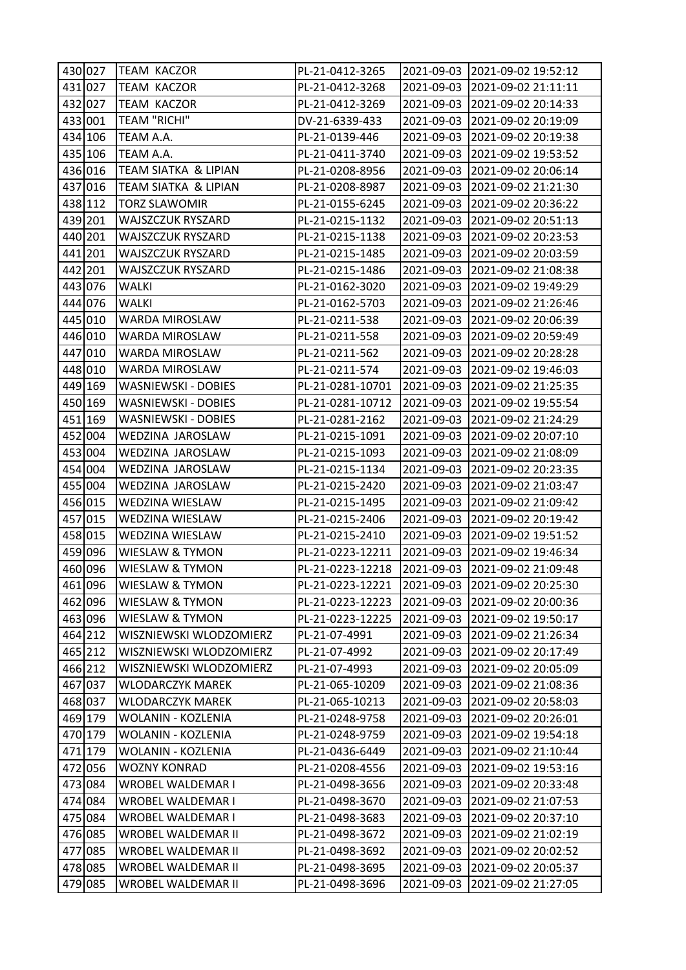| 430 027 | <b>TEAM KACZOR</b>         | PL-21-0412-3265  |            | 2021-09-03 2021-09-02 19:52:12 |
|---------|----------------------------|------------------|------------|--------------------------------|
| 431 027 | <b>TEAM KACZOR</b>         | PL-21-0412-3268  | 2021-09-03 | 2021-09-02 21:11:11            |
| 432 027 | <b>TEAM KACZOR</b>         | PL-21-0412-3269  | 2021-09-03 | 2021-09-02 20:14:33            |
| 433 001 | <b>TEAM "RICHI"</b>        | DV-21-6339-433   | 2021-09-03 | 2021-09-02 20:19:09            |
| 434 106 | TEAM A.A.                  | PL-21-0139-446   | 2021-09-03 | 2021-09-02 20:19:38            |
| 435 106 | TEAM A.A.                  | PL-21-0411-3740  | 2021-09-03 | 2021-09-02 19:53:52            |
| 436 016 | TEAM SIATKA & LIPIAN       | PL-21-0208-8956  | 2021-09-03 | 2021-09-02 20:06:14            |
| 437 016 | TEAM SIATKA & LIPIAN       | PL-21-0208-8987  | 2021-09-03 | 2021-09-02 21:21:30            |
| 438 112 | <b>TORZ SLAWOMIR</b>       | PL-21-0155-6245  | 2021-09-03 | 2021-09-02 20:36:22            |
| 439 201 | WAJSZCZUK RYSZARD          | PL-21-0215-1132  | 2021-09-03 | 2021-09-02 20:51:13            |
| 440 201 | WAJSZCZUK RYSZARD          | PL-21-0215-1138  | 2021-09-03 | 2021-09-02 20:23:53            |
| 441 201 | WAJSZCZUK RYSZARD          | PL-21-0215-1485  | 2021-09-03 | 2021-09-02 20:03:59            |
| 442 201 | WAJSZCZUK RYSZARD          | PL-21-0215-1486  | 2021-09-03 | 2021-09-02 21:08:38            |
| 443 076 | WALKI                      | PL-21-0162-3020  | 2021-09-03 | 2021-09-02 19:49:29            |
| 444 076 | <b>WALKI</b>               | PL-21-0162-5703  | 2021-09-03 | 2021-09-02 21:26:46            |
| 445 010 | WARDA MIROSLAW             | PL-21-0211-538   | 2021-09-03 | 2021-09-02 20:06:39            |
| 446 010 | WARDA MIROSLAW             | PL-21-0211-558   | 2021-09-03 | 2021-09-02 20:59:49            |
| 447 010 | WARDA MIROSLAW             | PL-21-0211-562   | 2021-09-03 | 2021-09-02 20:28:28            |
| 448 010 | WARDA MIROSLAW             | PL-21-0211-574   | 2021-09-03 | 2021-09-02 19:46:03            |
| 449 169 | <b>WASNIEWSKI - DOBIES</b> | PL-21-0281-10701 | 2021-09-03 | 2021-09-02 21:25:35            |
| 450 169 | WASNIEWSKI - DOBIES        | PL-21-0281-10712 | 2021-09-03 | 2021-09-02 19:55:54            |
| 451 169 | WASNIEWSKI - DOBIES        | PL-21-0281-2162  | 2021-09-03 | 2021-09-02 21:24:29            |
| 452 004 | WEDZINA JAROSLAW           | PL-21-0215-1091  | 2021-09-03 | 2021-09-02 20:07:10            |
| 453 004 | WEDZINA JAROSLAW           | PL-21-0215-1093  | 2021-09-03 | 2021-09-02 21:08:09            |
| 454 004 | WEDZINA JAROSLAW           | PL-21-0215-1134  | 2021-09-03 | 2021-09-02 20:23:35            |
| 455 004 | WEDZINA JAROSLAW           | PL-21-0215-2420  | 2021-09-03 | 2021-09-02 21:03:47            |
| 456 015 | WEDZINA WIESLAW            | PL-21-0215-1495  | 2021-09-03 | 2021-09-02 21:09:42            |
| 457 015 | WEDZINA WIESLAW            | PL-21-0215-2406  | 2021-09-03 | 2021-09-02 20:19:42            |
| 458 015 | WEDZINA WIESLAW            | PL-21-0215-2410  | 2021-09-03 | 2021-09-02 19:51:52            |
| 459 096 | WIESLAW & TYMON            | PL-21-0223-12211 | 2021-09-03 | 2021-09-02 19:46:34            |
| 460 096 | WIESLAW & TYMON            | PL-21-0223-12218 | 2021-09-03 | 2021-09-02 21:09:48            |
| 461 096 | <b>WIESLAW &amp; TYMON</b> | PL-21-0223-12221 | 2021-09-03 | 2021-09-02 20:25:30            |
| 462 096 | WIESLAW & TYMON            | PL-21-0223-12223 | 2021-09-03 | 2021-09-02 20:00:36            |
| 463 096 | WIESLAW & TYMON            | PL-21-0223-12225 | 2021-09-03 | 2021-09-02 19:50:17            |
| 464 212 | WISZNIEWSKI WLODZOMIERZ    | PL-21-07-4991    | 2021-09-03 | 2021-09-02 21:26:34            |
| 465 212 | WISZNIEWSKI WLODZOMIERZ    | PL-21-07-4992    | 2021-09-03 | 2021-09-02 20:17:49            |
| 466 212 | WISZNIEWSKI WLODZOMIERZ    | PL-21-07-4993    | 2021-09-03 | 2021-09-02 20:05:09            |
| 467 037 | <b>WLODARCZYK MAREK</b>    | PL-21-065-10209  | 2021-09-03 | 2021-09-02 21:08:36            |
| 468 037 | WLODARCZYK MAREK           | PL-21-065-10213  | 2021-09-03 | 2021-09-02 20:58:03            |
| 469 179 | WOLANIN - KOZLENIA         | PL-21-0248-9758  | 2021-09-03 | 2021-09-02 20:26:01            |
| 470 179 | WOLANIN - KOZLENIA         | PL-21-0248-9759  | 2021-09-03 | 2021-09-02 19:54:18            |
| 471 179 | WOLANIN - KOZLENIA         | PL-21-0436-6449  | 2021-09-03 | 2021-09-02 21:10:44            |
| 472 056 | <b>WOZNY KONRAD</b>        | PL-21-0208-4556  | 2021-09-03 | 2021-09-02 19:53:16            |
| 473 084 | WROBEL WALDEMAR I          | PL-21-0498-3656  | 2021-09-03 | 2021-09-02 20:33:48            |
| 474 084 | WROBEL WALDEMAR I          | PL-21-0498-3670  | 2021-09-03 | 2021-09-02 21:07:53            |
| 475 084 | WROBEL WALDEMAR I          | PL-21-0498-3683  | 2021-09-03 | 2021-09-02 20:37:10            |
| 476 085 | WROBEL WALDEMAR II         | PL-21-0498-3672  | 2021-09-03 | 2021-09-02 21:02:19            |
| 477 085 | WROBEL WALDEMAR II         | PL-21-0498-3692  | 2021-09-03 | 2021-09-02 20:02:52            |
| 478 085 | WROBEL WALDEMAR II         | PL-21-0498-3695  | 2021-09-03 | 2021-09-02 20:05:37            |
| 479 085 | WROBEL WALDEMAR II         | PL-21-0498-3696  | 2021-09-03 | 2021-09-02 21:27:05            |